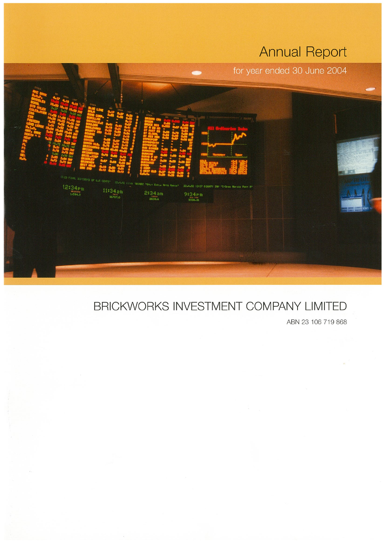# **Annual Report**



# BRICKWORKS INVESTMENT COMPANY LIMITED

ABN 23 106 719 868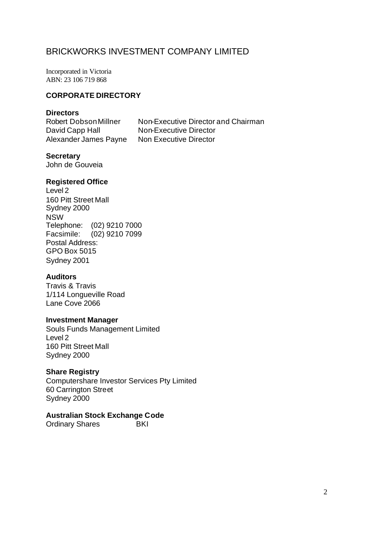Incorporated in Victoria ABN: 23 106 719 868

# **CORPORATE DIRECTORY**

# **Directors**

David Capp Hall Non-Executive Director Alexander James Payne Non Executive Director

Robert Dobson Millner Non-Executive Director and Chairman

# **Secretary**

John de Gouveia

# **Registered Office**

Level 2 160 Pitt Street Mall Sydney 2000 NSW Telephone: (02) 9210 7000 Facsimile: (02) 9210 7099 Postal Address: GPO Box 5015 Sydney 2001

# **Auditors**

Travis & Travis 1/114 Longueville Road Lane Cove 2066

# **Investment Manager**

Souls Funds Management Limited Level 2 160 Pitt Street Mall Sydney 2000

# **Share Registry**

Computershare Investor Services Pty Limited 60 Carrington Street Sydney 2000

# **Australian Stock Exchange Code**

Ordinary Shares BKI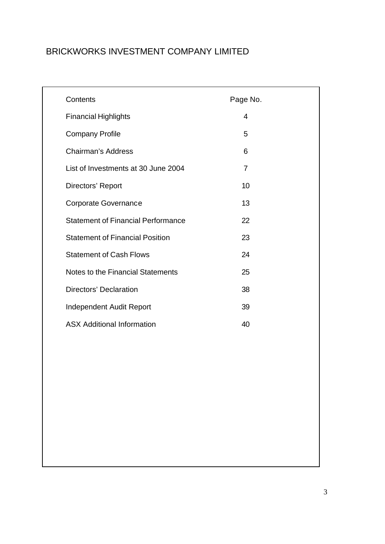| Contents                                  | Page No.       |
|-------------------------------------------|----------------|
| <b>Financial Highlights</b>               | $\overline{4}$ |
| <b>Company Profile</b>                    | 5              |
| <b>Chairman's Address</b>                 | 6              |
| List of Investments at 30 June 2004       | $\overline{7}$ |
| Directors' Report                         | 10             |
| <b>Corporate Governance</b>               | 13             |
| <b>Statement of Financial Performance</b> | 22             |
| <b>Statement of Financial Position</b>    | 23             |
| <b>Statement of Cash Flows</b>            | 24             |
| Notes to the Financial Statements         | 25             |
| Directors' Declaration                    | 38             |
| Independent Audit Report                  | 39             |
| <b>ASX Additional Information</b>         | 40             |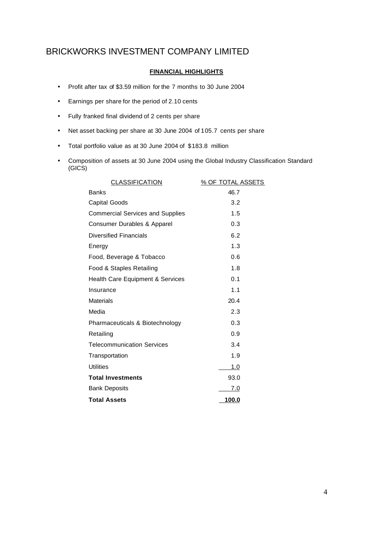# **FINANCIAL HIGHLIGHTS**

- Profit after tax of \$3.59 million for the 7 months to 30 June 2004
- Earnings per share for the period of 2.10 cents
- Fully franked final dividend of 2 cents per share
- Net asset backing per share at 30 June 2004 of 105.7 cents per share
- Total portfolio value as at 30 June 2004 of \$183.8 million
- Composition of assets at 30 June 2004 using the Global Industry Classification Standard (GICS)

| <b>CLASSIFICATION</b>                       | % OF TOTAL ASSETS |
|---------------------------------------------|-------------------|
| <b>Banks</b>                                | 46.7              |
| <b>Capital Goods</b>                        | 3.2               |
| <b>Commercial Services and Supplies</b>     | 1.5               |
| Consumer Durables & Apparel                 | 0.3               |
| <b>Diversified Financials</b>               | 6.2               |
| Energy                                      | 1.3               |
| Food, Beverage & Tobacco                    | 0.6               |
| Food & Staples Retailing                    | 1.8               |
| <b>Health Care Equipment &amp; Services</b> | 0.1               |
| Insurance                                   | 1.1               |
| <b>Materials</b>                            | 20.4              |
| Media                                       | 2.3               |
| Pharmaceuticals & Biotechnology             | 0.3               |
| Retailing                                   | 0.9               |
| <b>Telecommunication Services</b>           | 3.4               |
| Transportation                              | 1.9               |
| Utilities                                   | 1.0               |
| <b>Total Investments</b>                    | 93.0              |
| <b>Bank Deposits</b>                        | 7.0               |
| <b>Total Assets</b>                         | 100.0             |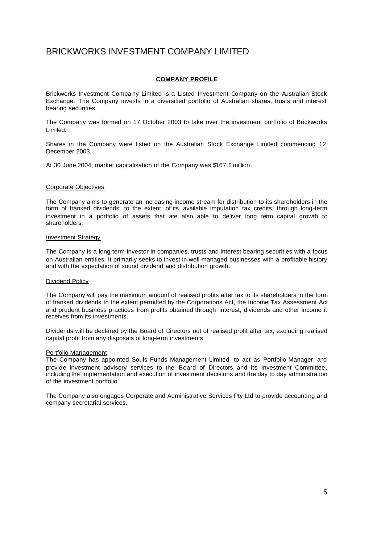# **COMPANY PROFILE**

Brickworks Investment Compa ny Limited is a Listed Investment Company on the Australian Stock Exchange. The Company invests in a diversified portfolio of Australian shares, trusts and interest bearing securities.

The Company was formed on 17 October 2003 to take over the investment portfolio of Brickworks Limited.

Shares in the Company were listed on the Australian Stock Exchange Limited commencing 12 December 2003.

At 30 June 2004, market capitalisation of the Company was \$167.8 million.

#### Corporate Objectives

The Company aims to generate an increasing income stream for distribution to its shareholders in the form of franked dividends, to the extent of its available imputation tax credits, through long-term investment in a portfolio of assets that are also able to deliver long term capital growth to shareholders.

#### Investment Strategy

The Company is a long-term investor in companies, trusts and interest bearing securities with a focus on Australian entities. It primarily seeks to invest in well-managed businesses with a profitable history and with the expectation of sound dividend and distribution growth.

#### Dividend Policy

The Company will pay the maximum amount of realised profits after tax to its shareholders in the form of franked dividends to the extent permitted by the Corporations Act, the Income Tax Assessment Act and prudent business practices from profits obtained through interest, dividends and other income it receives from its investments.

Dividends will be declared by the Board of Directors out of realised profit after tax, excluding realised capital profit from any disposals of long-term investments.

#### Portfolio Management

The Company has appointed Souls Funds Management Limited to act as Portfolio Manager and provide investment advisory services to the Board of Directors and its Investment Committee, including the implementation and execution of investment decisions and the day to day administration of the investment portfolio.

The Company also engages Corporate and Administrative Services Pty Ltd to provide accounting and company secretarial services.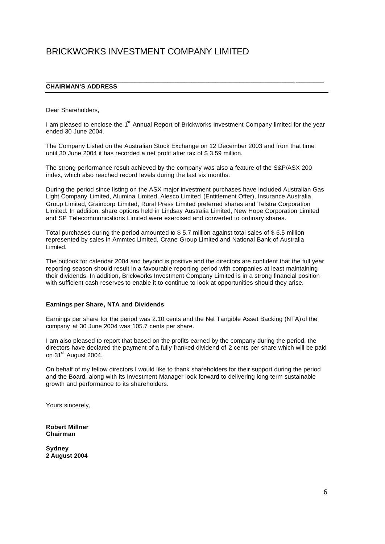# **CHAIRMAN'S ADDRESS**

Dear Shareholders,

I am pleased to enclose the 1<sup>st</sup> Annual Report of Brickworks Investment Company limited for the year ended 30 June 2004.

\_\_\_\_\_\_\_\_\_\_\_\_\_\_\_\_\_\_\_\_\_\_\_\_\_\_\_\_\_\_\_\_\_\_\_\_\_\_\_\_\_\_\_\_\_\_\_\_\_\_\_\_\_\_\_\_\_\_\_\_\_\_\_\_\_\_\_\_\_\_\_\_ \_\_\_\_\_\_\_\_

The Company Listed on the Australian Stock Exchange on 12 December 2003 and from that time until 30 June 2004 it has recorded a net profit after tax of \$ 3.59 million.

The strong performance result achieved by the company was also a feature of the S&P/ASX 200 index, which also reached record levels during the last six months.

During the period since listing on the ASX major investment purchases have included Australian Gas Light Company Limited, Alumina Limited, Alesco Limited (Entitlement Offer), Insurance Australia Group Limited, Graincorp Limited, Rural Press Limited preferred shares and Telstra Corporation Limited. In addition, share options held in Lindsay Australia Limited, New Hope Corporation Limited and SP Telecommunications Limited were exercised and converted to ordinary shares.

Total purchases during the period amounted to \$ 5.7 million against total sales of \$ 6.5 million represented by sales in Ammtec Limited, Crane Group Limited and National Bank of Australia Limited.

The outlook for calendar 2004 and beyond is positive and the directors are confident that the full year reporting season should result in a favourable reporting period with companies at least maintaining their dividends. In addition, Brickworks Investment Company Limited is in a strong financial position with sufficient cash reserves to enable it to continue to look at opportunities should they arise.

#### **Earnings per Share, NTA and Dividends**

Earnings per share for the period was 2.10 cents and the Net Tangible Asset Backing (NTA) of the company at 30 June 2004 was 105.7 cents per share.

I am also pleased to report that based on the profits earned by the company during the period, the directors have declared the payment of a fully franked dividend of 2 cents per share which will be paid on 31<sup>st</sup> August 2004.

On behalf of my fellow directors I would like to thank shareholders for their support during the period and the Board, along with its Investment Manager look forward to delivering long term sustainable growth and performance to its shareholders.

Yours sincerely,

**Robert Millner Chairman**

**Sydney 2 August 2004**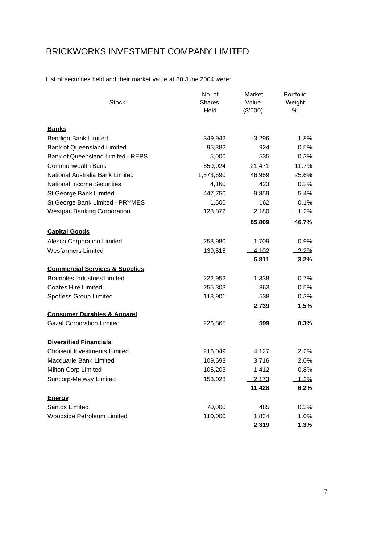List of securities held and their market value at 30 June 2004 were:

| <b>Stock</b>                              | No. of<br><b>Shares</b><br>Held | Market<br>Value<br>(\$'000) | Portfolio<br>Weight<br>% |  |
|-------------------------------------------|---------------------------------|-----------------------------|--------------------------|--|
| <b>Banks</b>                              |                                 |                             |                          |  |
| Bendigo Bank Limited                      | 349,942                         | 3,296                       | 1.8%                     |  |
| <b>Bank of Queensland Limited</b>         | 95,382                          | 924                         | 0.5%                     |  |
| <b>Bank of Queensland Limited - REPS</b>  | 5,000                           | 535                         | 0.3%                     |  |
| <b>Commonwealth Bank</b>                  | 659,024                         | 21,471                      | 11.7%                    |  |
| National Australia Bank Limited           | 1,573,690                       | 46,959                      | 25.6%                    |  |
| <b>National Income Securities</b>         | 4,160                           | 423                         | 0.2%                     |  |
| St George Bank Limited                    | 447,750                         | 9,859                       | 5.4%                     |  |
| St George Bank Limited - PRYMES           | 1,500                           | 162                         | 0.1%                     |  |
| <b>Westpac Banking Corporation</b>        | 123,872                         | <u>2,180</u>                | 1.2%                     |  |
|                                           |                                 | 85,809                      | 46.7%                    |  |
| <b>Capital Goods</b>                      |                                 |                             |                          |  |
| <b>Alesco Corporation Limited</b>         | 258,980                         | 1,709                       | 0.9%                     |  |
| <b>Wesfarmers Limited</b>                 | 139,518                         | 4,102                       | $2.2\%$                  |  |
|                                           |                                 | 5,811                       | 3.2%                     |  |
| <b>Commercial Services &amp; Supplies</b> |                                 |                             |                          |  |
| <b>Brambles Industries Limited</b>        | 222,952                         | 1,338                       | 0.7%                     |  |
| <b>Coates Hire Limited</b>                | 255,303                         | 863                         | 0.5%                     |  |
| Spotless Group Limited                    | 113,901                         | 538                         | 0.3%                     |  |
|                                           |                                 | 2,739                       | 1.5%                     |  |
| <b>Consumer Durables &amp; Apparel</b>    |                                 |                             |                          |  |
| <b>Gazal Corporation Limited</b>          | 226,865                         | 599                         | 0.3%                     |  |
| <b>Diversified Financials</b>             |                                 |                             |                          |  |
| <b>Choiseul Investments Limited</b>       | 216,049                         | 4,127                       | 2.2%                     |  |
| Macquarie Bank Limited                    | 109,693                         | 3,716                       | 2.0%                     |  |
| Milton Corp Limited                       | 105,203                         | 1,412                       | 0.8%                     |  |
| Suncorp-Metway Limited                    | 153,028                         | 2,173                       | 1.2%                     |  |
|                                           |                                 | 11,428                      | 6.2%                     |  |
| Energy                                    |                                 |                             |                          |  |
| Santos Limited                            | 70,000                          | 485                         | 0.3%                     |  |
| <b>Woodside Petroleum Limited</b>         | 110,000                         | 1,834                       | 1.0%                     |  |
|                                           |                                 | 2,319                       | 1.3%                     |  |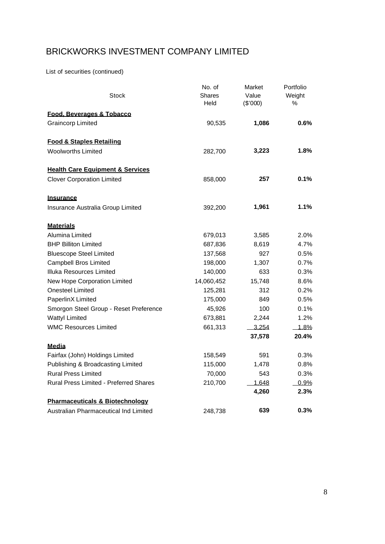List of securities (continued)

|                                               | No. of     | Market   | Portfolio |
|-----------------------------------------------|------------|----------|-----------|
| Stock                                         | Shares     | Value    | Weight    |
|                                               | Held       | (\$'000) | %         |
| Food, Beverages & Tobacco                     |            |          |           |
| <b>Graincorp Limited</b>                      | 90,535     | 1,086    | $0.6\%$   |
| <b>Food &amp; Staples Retailing</b>           |            |          |           |
| <b>Woolworths Limited</b>                     | 282,700    | 3,223    | 1.8%      |
| <b>Health Care Equipment &amp; Services</b>   |            |          |           |
| <b>Clover Corporation Limited</b>             | 858,000    | 257      | $0.1\%$   |
| <b>Insurance</b>                              |            |          |           |
| Insurance Australia Group Limited             | 392,200    | 1,961    | 1.1%      |
| <b>Materials</b>                              |            |          |           |
| Alumina Limited                               | 679,013    | 3,585    | 2.0%      |
| <b>BHP Billiton Limited</b>                   | 687,836    | 8,619    | 4.7%      |
| <b>Bluescope Steel Limited</b>                | 137,568    | 927      | 0.5%      |
| <b>Campbell Bros Limited</b>                  | 198,000    | 1,307    | 0.7%      |
| Illuka Resources Limited                      | 140,000    | 633      | 0.3%      |
| New Hope Corporation Limited                  | 14,060,452 | 15,748   | 8.6%      |
| <b>Onesteel Limited</b>                       | 125,281    | 312      | 0.2%      |
| PaperlinX Limited                             | 175,000    | 849      | 0.5%      |
| Smorgon Steel Group - Reset Preference        | 45,926     | 100      | 0.1%      |
| <b>Wattyl Limited</b>                         | 673,881    | 2,244    | 1.2%      |
| <b>WMC Resources Limited</b>                  | 661,313    | 3.254    | 1.8%      |
|                                               |            | 37,578   | 20.4%     |
| Media                                         |            |          |           |
| Fairfax (John) Holdings Limited               | 158,549    | 591      | 0.3%      |
| Publishing & Broadcasting Limited             | 115,000    | 1,478    | 0.8%      |
| <b>Rural Press Limited</b>                    | 70,000     | 543      | 0.3%      |
| <b>Rural Press Limited - Preferred Shares</b> | 210,700    | 1,648    | 0.9%      |
|                                               |            | 4,260    | 2.3%      |
| <b>Pharmaceuticals &amp; Biotechnology</b>    |            |          |           |
| Australian Pharmaceutical Ind Limited         | 248,738    | 639      | 0.3%      |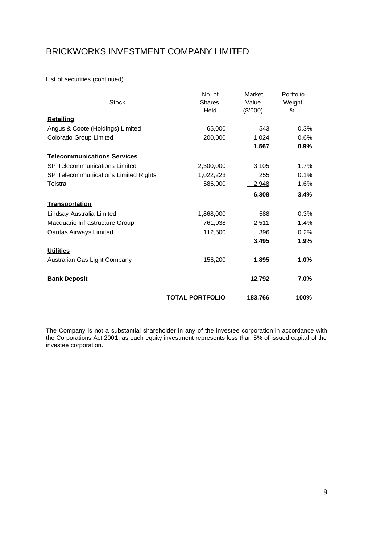List of securities (continued)

| <b>Stock</b>                         | No. of<br><b>Shares</b><br>Held | Market<br>Value<br>(\$'000) | Portfolio<br>Weight<br>% |
|--------------------------------------|---------------------------------|-----------------------------|--------------------------|
| <b>Retailing</b>                     |                                 |                             |                          |
| Angus & Coote (Holdings) Limited     | 65,000                          | 543                         | 0.3%                     |
| Colorado Group Limited               | 200,000                         | 1.024                       | 0.6%                     |
|                                      |                                 | 1,567                       | 0.9%                     |
| <b>Telecommunications Services</b>   |                                 |                             |                          |
| SP Telecommunications Limited        | 2,300,000                       | 3,105                       | 1.7%                     |
| SP Telecommunications Limited Rights | 1,022,223                       | 255                         | 0.1%                     |
| Telstra                              | 586,000                         | <u>2,948</u>                | 1.6%                     |
|                                      |                                 | 6,308                       | 3.4%                     |
| Transportation                       |                                 |                             |                          |
| Lindsay Australia Limited            | 1,868,000                       | 588                         | 0.3%                     |
| Macquarie Infrastructure Group       | 761,038                         | 2,511                       | 1.4%                     |
| Qantas Airways Limited               | 112,500                         | 396                         | $0.2\%$                  |
|                                      |                                 | 3,495                       | 1.9%                     |
| <b>Utilities</b>                     |                                 |                             |                          |
| Australian Gas Light Company         | 156,200                         | 1,895                       | 1.0%                     |
| <b>Bank Deposit</b>                  |                                 | 12,792                      | 7.0%                     |
|                                      | <b>TOTAL PORTFOLIO</b>          | 183,766                     | 100%                     |

The Company is not a substantial shareholder in any of the investee corporation in accordance with the Corporations Act 2001, as each equity investment represents less than 5% of issued capital of the investee corporation.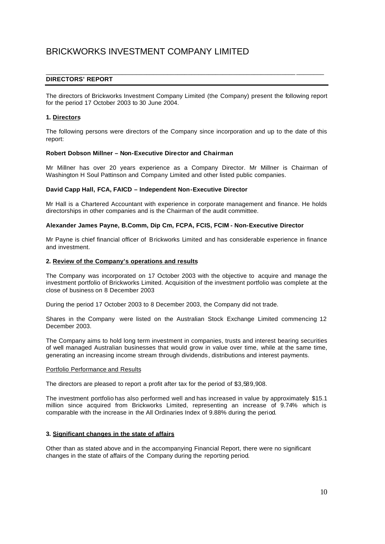## **DIRECTORS' REPORT**

The directors of Brickworks Investment Company Limited (the Company) present the following report for the period 17 October 2003 to 30 June 2004.

\_\_\_\_\_\_\_\_\_\_\_\_\_\_\_\_\_\_\_\_\_\_\_\_\_\_\_\_\_\_\_\_\_\_\_\_\_\_\_\_\_\_\_\_\_\_\_\_\_\_\_\_\_\_\_\_\_\_\_\_\_\_\_\_\_\_\_\_\_\_\_\_ \_\_\_\_\_\_\_\_

### **1. Directors**

The following persons were directors of the Company since incorporation and up to the date of this report:

#### **Robert Dobson Millner – Non-Executive Director and Chairman**

Mr Millner has over 20 years experience as a Company Director. Mr Millner is Chairman of Washington H Soul Pattinson and Company Limited and other listed public companies.

#### **David Capp Hall, FCA, FAICD – Independent Non-Executive Director**

Mr Hall is a Chartered Accountant with experience in corporate management and finance. He holds directorships in other companies and is the Chairman of the audit committee.

### **Alexander James Payne, B.Comm, Dip Cm, FCPA, FCIS, FCIM - Non-Executive Director**

Mr Payne is chief financial officer of Brickworks Limited and has considerable experience in finance and investment.

#### **2. Review of the Company's operations and results**

The Company was incorporated on 17 October 2003 with the objective to acquire and manage the investment portfolio of Brickworks Limited. Acquisition of the investment portfolio was complete at the close of business on 8 December 2003

During the period 17 October 2003 to 8 December 2003, the Company did not trade.

Shares in the Company were listed on the Australian Stock Exchange Limited commencing 12 December 2003.

The Company aims to hold long term investment in companies, trusts and interest bearing securities of well managed Australian businesses that would grow in value over time, while at the same time, generating an increasing income stream through dividends, distributions and interest payments.

#### Portfolio Performance and Results

The directors are pleased to report a profit after tax for the period of \$3,589,908.

The investment portfolio has also performed well and has increased in value by approximately \$15.1 million since acquired from Brickworks Limited, representing an increase of 9.74% which is comparable with the increase in the All Ordinaries Index of 9.88% during the period.

### **3. Significant changes in the state of affairs**

Other than as stated above and in the accompanying Financial Report, there were no significant changes in the state of affairs of the Company during the reporting period.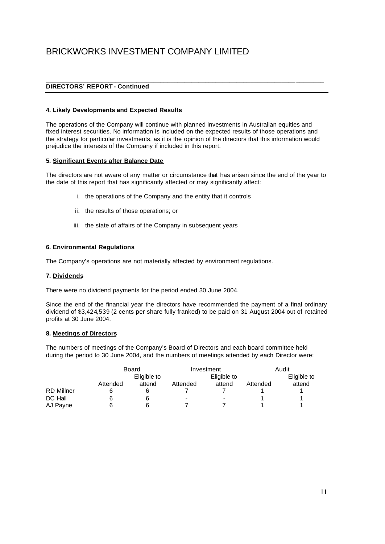# **DIRECTORS' REPORT - Continued**

### **4. Likely Developments and Expected Results**

The operations of the Company will continue with planned investments in Australian equities and fixed interest securities. No information is included on the expected results of those operations and the strategy for particular investments, as it is the opinion of the directors that this information would prejudice the interests of the Company if included in this report.

\_\_\_\_\_\_\_\_\_\_\_\_\_\_\_\_\_\_\_\_\_\_\_\_\_\_\_\_\_\_\_\_\_\_\_\_\_\_\_\_\_\_\_\_\_\_\_\_\_\_\_\_\_\_\_\_\_\_\_\_\_\_\_\_\_\_\_\_\_\_\_\_ \_\_\_\_\_\_\_\_

### **5. Significant Events after Balance Date**

The directors are not aware of any matter or circumstance that has arisen since the end of the year to the date of this report that has significantly affected or may significantly affect:

- i. the operations of the Company and the entity that it controls
- ii. the results of those operations; or
- iii. the state of affairs of the Company in subsequent years

### **6. Environmental Regulations**

The Company's operations are not materially affected by environment regulations.

### **7. Dividends**

There were no dividend payments for the period ended 30 June 2004.

Since the end of the financial year the directors have recommended the payment of a final ordinary dividend of \$3,424,539 (2 cents per share fully franked) to be paid on 31 August 2004 out of retained profits at 30 June 2004.

### **8. Meetings of Directors**

The numbers of meetings of the Company's Board of Directors and each board committee held during the period to 30 June 2004, and the numbers of meetings attended by each Director were:

|                   |          | Board       |          | Investment               |          | Audit       |  |  |
|-------------------|----------|-------------|----------|--------------------------|----------|-------------|--|--|
|                   |          | Eligible to |          | Eligible to              |          | Eligible to |  |  |
|                   | Attended | attend      | Attended | attend                   | Attended | attend      |  |  |
| <b>RD Millner</b> |          |             |          |                          |          |             |  |  |
| DC Hall           |          | 6           | -        | $\overline{\phantom{0}}$ |          |             |  |  |
| AJ Payne          |          |             |          |                          |          |             |  |  |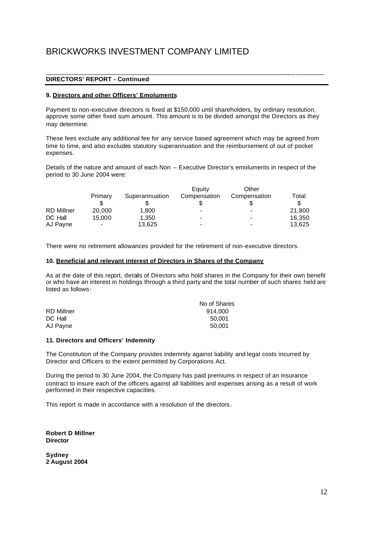## **DIRECTORS' REPORT - Continued**

### **9. Directors and other Officers' Emoluments**

Payment to non-executive directors is fixed at \$150,000 until shareholders, by ordinary resolution, approve some other fixed sum amount. This amount is to be divided amongst the Directors as they may determine.

\_\_\_\_\_\_\_\_\_\_\_\_\_\_\_\_\_\_\_\_\_\_\_\_\_\_\_\_\_\_\_\_\_\_\_\_\_\_\_\_\_\_\_\_\_\_\_\_\_\_\_\_\_\_\_\_\_\_\_\_\_\_\_\_\_\_\_\_\_\_\_\_ \_\_\_\_\_\_\_\_

These fees exclude any additional fee for any service based agreement which may be agreed from time to time, and also excludes statutory superannuation and the reimbursement of out of pocket expenses.

Details of the nature and amount of each Non – Executive Director's emoluments in respect of the period to 30 June 2004 were:

|                   |                          |                | Eauity       | Other                    |        |
|-------------------|--------------------------|----------------|--------------|--------------------------|--------|
|                   | Primary                  | Superannuation | Compensation | Compensation             | Total  |
|                   |                          |                |              |                          |        |
| <b>RD Millner</b> | 20,000                   | 1.800          | -            |                          | 21.800 |
| DC Hall           | 15.000                   | 1.350          | -            | $\,$                     | 16,350 |
| AJ Payne          | $\overline{\phantom{a}}$ | 13.625         | -            | $\overline{\phantom{0}}$ | 13.625 |

There were no retirement allowances provided for the retirement of non-executive directors.

#### **10. Beneficial and relevant interest of Directors in Shares of the Company**

As at the date of this report, details of Directors who hold shares in the Company for their own benefit or who have an interest in holdings through a third party and the total number of such shares held are listed as follows:

|            | No of Shares |
|------------|--------------|
| RD Millner | 914.000      |
| DC Hall    | 50.001       |
| AJ Payne   | 50.001       |
|            |              |

### **11. Directors and Officers' Indemnity**

The Constitution of the Company provides indemnity against liability and legal costs incurred by Director and Officers to the extent permitted by Corporations Act.

During the period to 30 June 2004, the Co mpany has paid premiums in respect of an insurance contract to insure each of the officers against all liabilities and expenses arising as a result of work performed in their respective capacities.

This report is made in accordance with a resolution of the directors.

**Robert D Millner Director**

**Sydney 2 August 2004**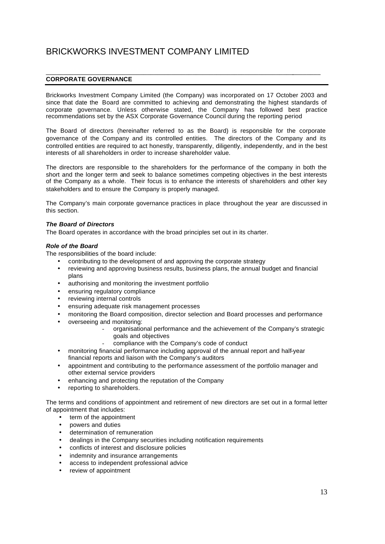# **CORPORATE GOVERNANCE**

Brickworks Investment Company Limited (the Company) was incorporated on 17 October 2003 and since that date the Board are committed to achieving and demonstrating the highest standards of corporate governance. Unless otherwise stated, the Company has followed best practice recommendations set by the ASX Corporate Governance Council during the reporting period

\_\_\_\_\_\_\_\_\_\_\_\_\_\_\_\_\_\_\_\_\_\_\_\_\_\_\_\_\_\_\_\_\_\_\_\_\_\_\_\_\_\_\_\_\_\_\_\_\_\_\_\_\_\_\_\_\_\_\_\_\_\_\_\_\_\_\_\_\_\_\_\_\_\_\_\_\_\_\_

The Board of directors (hereinafter referred to as the Board) is responsible for the corporate governance of the Company and its controlled entities. The directors of the Company and its controlled entities are required to act honestly, transparently, diligently, independently, and in the best interests of all shareholders in order to increase shareholder value.

The directors are responsible to the shareholders for the performance of the company in both the short and the longer term and seek to balance sometimes competing objectives in the best interests of the Company as a whole. Their focus is to enhance the interests of shareholders and other key stakeholders and to ensure the Company is properly managed.

The Company's main corporate governance practices in place throughout the year are discussed in this section.

### *The Board of Directors*

The Board operates in accordance with the broad principles set out in its charter.

#### *Role of the Board*

The responsibilities of the board include:

- contributing to the development of and approving the corporate strategy
- reviewing and approving business results, business plans, the annual budget and financial plans
- authorising and monitoring the investment portfolio
- ensuring regulatory compliance
- reviewing internal controls
- ensuring adequate risk management processes
- monitoring the Board composition, director selection and Board processes and performance
- overseeing and monitoring:
	- organisational performance and the achievement of the Company's strategic goals and objectives
	- compliance with the Company's code of conduct
- monitoring financial performance including approval of the annual report and half-year financial reports and liaison with the Company's auditors
- appointment and contributing to the performance assessment of the portfolio manager and other external service providers
- enhancing and protecting the reputation of the Company
- reporting to shareholders.

The terms and conditions of appointment and retirement of new directors are set out in a formal letter of appointment that includes:

- term of the appointment
- powers and duties
- determination of remuneration
- dealings in the Company securities including notification requirements
- conflicts of interest and disclosure policies
- indemnity and insurance arrangements
- access to independent professional advice
- review of appointment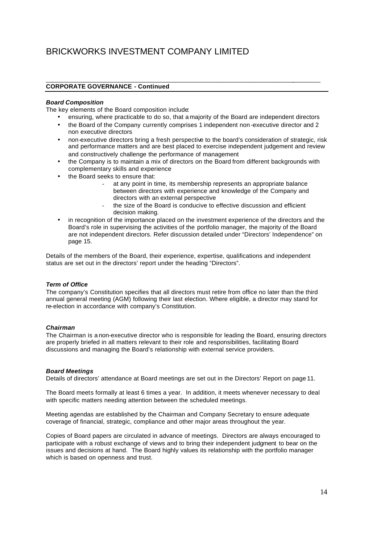### **CORPORATE GOVERNANCE - Continued**

### *Board Composition*

The key elements of the Board composition include:

• ensuring, where practicable to do so, that a majority of the Board are independent directors

\_\_\_\_\_\_\_\_\_\_\_\_\_\_\_\_\_\_\_\_\_\_\_\_\_\_\_\_\_\_\_\_\_\_\_\_\_\_\_\_\_\_\_\_\_\_\_\_\_\_\_\_\_\_\_\_\_\_\_\_\_\_\_\_\_\_\_\_\_\_\_\_\_\_\_\_\_\_\_

- the Board of the Company currently comprises 1 independent non -executive director and 2 non executive directors
- non-executive directors bring a fresh perspective to the board's consideration of strategic, risk and performance matters and are best placed to exercise independent judgement and review and constructively challenge the performance of management
- the Company is to maintain a mix of directors on the Board from different backgrounds with complementary skills and experience
- the Board seeks to ensure that:
	- at any point in time, its membership represents an appropriate balance between directors with experience and knowledge of the Company and directors with an external perspective
	- the size of the Board is conducive to effective discussion and efficient decision making.
- in recognition of the importance placed on the investment experience of the directors and the Board's role in supervising the activities of the portfolio manager, the majority of the Board are not independent directors. Refer discussion detailed under "Directors' Independence" on page 15.

Details of the members of the Board, their experience, expertise, qualifications and independent status are set out in the directors' report under the heading "Directors".

### *Term of Office*

The company's Constitution specifies that all directors must retire from office no later than the third annual general meeting (AGM) following their last election. Where eligible, a director may stand for re-election in accordance with company's Constitution.

### *Chairman*

The Chairman is a non-executive director who is responsible for leading the Board, ensuring directors are properly briefed in all matters relevant to their role and responsibilities, facilitating Board discussions and managing the Board's relationship with external service providers.

#### *Board Meetings*

Details of directors' attendance at Board meetings are set out in the Directors' Report on page 11.

The Board meets formally at least 6 times a year. In addition, it meets whenever necessary to deal with specific matters needing attention between the scheduled meetings.

Meeting agendas are established by the Chairman and Company Secretary to ensure adequate coverage of financial, strategic, compliance and other major areas throughout the year.

Copies of Board papers are circulated in advance of meetings. Directors are always encouraged to participate with a robust exchange of views and to bring their independent judgment to bear on the issues and decisions at hand. The Board highly values its relationship with the portfolio manager which is based on openness and trust.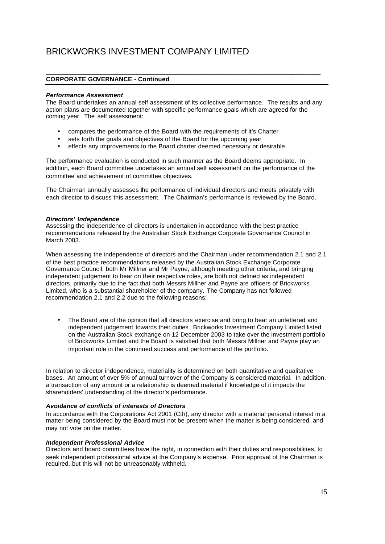# **CORPORATE GOVERNANCE - Continued**

## *Performance Assessment*

The Board undertakes an annual self assessment of its collective performance. The results and any action plans are documented together with specific performance goals which are agreed for the coming year. The self assessment:

\_\_\_\_\_\_\_\_\_\_\_\_\_\_\_\_\_\_\_\_\_\_\_\_\_\_\_\_\_\_\_\_\_\_\_\_\_\_\_\_\_\_\_\_\_\_\_\_\_\_\_\_\_\_\_\_\_\_\_\_\_\_\_\_\_\_\_\_\_\_\_\_\_\_\_\_\_\_\_

- compares the performance of the Board with the requirements of it's Charter
- sets forth the goals and objectives of the Board for the upcoming year
- effects any improvements to the Board charter deemed necessary or desirable.

The performance evaluation is conducted in such manner as the Board deems appropriate. In addition, each Board committee undertakes an annual self assessment on the performance of the committee and achievement of committee objectives.

The Chairman annually assesses the performance of individual directors and meets privately with each director to discuss this assessment. The Chairman's performance is reviewed by the Board.

#### *Directors' Independence*

Assessing the independence of directors is undertaken in accordance with the best practice recommendations released by the Australian Stock Exchange Corporate Governance Council in March 2003.

When assessing the independence of directors and the Chairman under recommendation 2.1 and 2.1 of the best practice recommendations released by the Australian Stock Exchange Corporate Governance Council, both Mr Millner and Mr Payne, although meeting other criteria, and bringing independent judgement to bear on their respective roles, are both not defined as independent directors, primarily due to the fact that both Messrs Millner and Payne are officers of Brickworks Limited, who is a substantial shareholder of the company. The Company has not followed recommendation 2.1 and 2.2 due to the following reasons;

• The Board are of the opinion that all directors exercise and bring to bear an unfettered and independent judgement towards their duties . Brickworks Investment Company Limited listed on the Australian Stock exchange on 12 December 2003 to take over the investment portfolio of Brickworks Limited and the Board is satisfied that both Messrs Millner and Payne play an important role in the continued success and performance of the portfolio.

In relation to director independence, materiality is determined on both quantitative and qualitative bases. An amount of over 5% of annual turnover of the Company is considered material. In addition, a transaction of any amount or a relationship is deemed material if knowledge of it impacts the shareholders' understanding of the director's performance.

## *Avoidance of conflicts of interests of Directors*

In accordance with the Corporations Act 2001 (Cth), any director with a material personal interest in a matter being considered by the Board must not be present when the matter is being considered, and may not vote on the matter.

#### *Independent Professional Advice*

Directors and board committees have the right, in connection with their duties and responsibilities, to seek independent professional advice at the Company's expense. Prior approval of the Chairman is required, but this will not be unreasonably withheld.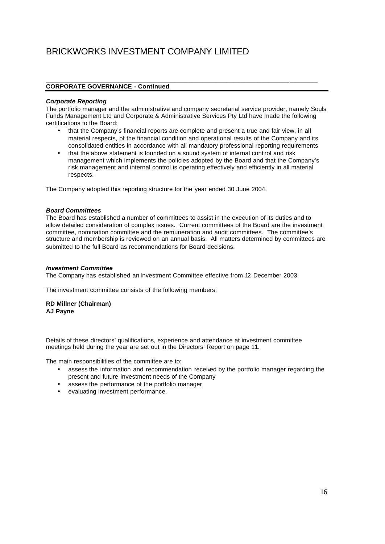## **CORPORATE GOVERNANCE - Continued**

### *Corporate Reporting*

The portfolio manager and the administrative and company secretarial service provider, namely Souls Funds Management Ltd and Corporate & Administrative Services Pty Ltd have made the following certifications to the Board:

\_\_\_\_\_\_\_\_\_\_\_\_\_\_\_\_\_\_\_\_\_\_\_\_\_\_\_\_\_\_\_\_\_\_\_\_\_\_\_\_\_\_\_\_\_\_\_\_\_\_\_\_\_\_\_\_\_\_\_\_\_\_\_\_\_\_\_\_\_\_\_\_\_\_\_\_\_\_

- that the Company's financial reports are complete and present a true and fair view, in all material respects, of the financial condition and operational results of the Company and its consolidated entities in accordance with all mandatory professional reporting requirements
- that the above statement is founded on a sound system of internal control and risk management which implements the policies adopted by the Board and that the Company's risk management and internal control is operating effectively and efficiently in all material respects.

The Company adopted this reporting structure for the year ended 30 June 2004.

### *Board Committees*

The Board has established a number of committees to assist in the execution of its duties and to allow detailed consideration of complex issues. Current committees of the Board are the investment committee, nomination committee and the remuneration and audit committees. The committee's structure and membership is reviewed on an annual basis. All matters determined by committees are submitted to the full Board as recommendations for Board decisions.

### *Investment Committee*

The Company has established an Investment Committee effective from 12 December 2003.

The investment committee consists of the following members:

### **RD Millner (Chairman) AJ Payne**

Details of these directors' qualifications, experience and attendance at investment committee meetings held during the year are set out in the Directors' Report on page 11.

The main responsibilities of the committee are to:

- assess the information and recommendation received by the portfolio manager regarding the present and future investment needs of the Company
- assess the performance of the portfolio manager
- evaluating investment performance.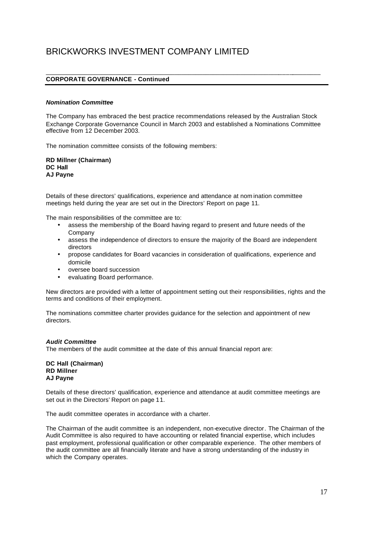# **CORPORATE GOVERNANCE - Continued**

#### *Nomination Committee*

The Company has embraced the best practice recommendations released by the Australian Stock Exchange Corporate Governance Council in March 2003 and established a Nominations Committee effective from 12 December 2003.

\_\_\_\_\_\_\_\_\_\_\_\_\_\_\_\_\_\_\_\_\_\_\_\_\_\_\_\_\_\_\_\_\_\_\_\_\_\_\_\_\_\_\_\_\_\_\_\_\_\_\_\_\_\_\_\_\_\_\_\_\_\_\_\_\_\_\_\_\_\_\_\_\_\_\_\_\_\_\_

The nomination committee consists of the following members:

**RD Millner (Chairman) DC Hall AJ Payne**

Details of these directors' qualifications, experience and attendance at nom ination committee meetings held during the year are set out in the Directors' Report on page 11.

The main responsibilities of the committee are to:

- assess the membership of the Board having regard to present and future needs of the Company
- assess the independence of directors to ensure the majority of the Board are independent directors
- propose candidates for Board vacancies in consideration of qualifications, experience and domicile
- oversee board succession
- evaluating Board performance.

New directors are provided with a letter of appointment setting out their responsibilities, rights and the terms and conditions of their employment.

The nominations committee charter provides guidance for the selection and appointment of new directors.

### *Audit Committee*

The members of the audit committee at the date of this annual financial report are:

**DC Hall (Chairman) RD Millner AJ Payne**

Details of these directors' qualification, experience and attendance at audit committee meetings are set out in the Directors' Report on page 11.

The audit committee operates in accordance with a charter.

The Chairman of the audit committee is an independent, non-executive director. The Chairman of the Audit Committee is also required to have accounting or related financial expertise, which includes past employment, professional qualification or other comparable experience. The other members of the audit committee are all financially literate and have a strong understanding of the industry in which the Company operates.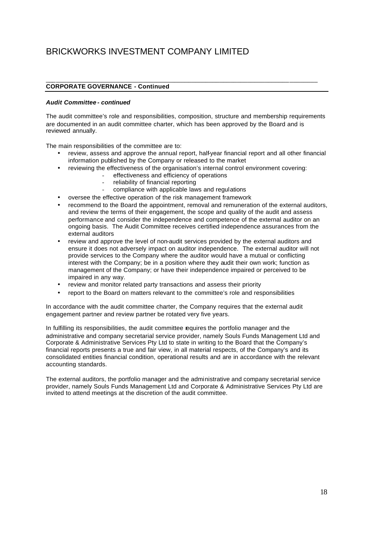# **CORPORATE GOVERNANCE - Continued**

### *Audit Committee - continued*

The audit committee's role and responsibilities, composition, structure and membership requirements are documented in an audit committee charter, which has been approved by the Board and is reviewed annually.

\_\_\_\_\_\_\_\_\_\_\_\_\_\_\_\_\_\_\_\_\_\_\_\_\_\_\_\_\_\_\_\_\_\_\_\_\_\_\_\_\_\_\_\_\_\_\_\_\_\_\_\_\_\_\_\_\_\_\_\_\_\_\_\_\_\_\_\_\_\_\_\_\_\_\_\_\_\_

The main responsibilities of the committee are to:

- review, assess and approve the annual report, half-year financial report and all other financial information published by the Company or released to the market
- reviewing the effectiveness of the organisation's internal control environment covering:
	- effectiveness and efficiency of operations
	- reliability of financial reporting
	- compliance with applicable laws and regulations
- oversee the effective operation of the risk management framework
- recommend to the Board the appointment, removal and remuneration of the external auditors, and review the terms of their engagement, the scope and quality of the audit and assess performance and consider the independence and competence of the external auditor on an ongoing basis. The Audit Committee receives certified independence assurances from the external auditors
- review and approve the level of non-audit services provided by the external auditors and ensure it does not adversely impact on auditor independence. The external auditor will not provide services to the Company where the auditor would have a mutual or conflicting interest with the Company; be in a position where they audit their own work; function as management of the Company; or have their independence impaired or perceived to be impaired in any way.
- review and monitor related party transactions and assess their priority
- report to the Board on matters relevant to the committee's role and responsibilities

In accordance with the audit committee charter, the Company requires that the external audit engagement partner and review partner be rotated very five years.

In fulfilling its responsibilities, the audit committee requires the portfolio manager and the administrative and company secretarial service provider, namely Souls Funds Management Ltd and Corporate & Administrative Services Pty Ltd to state in writing to the Board that the Company's financial reports presents a true and fair view, in all material respects, of the Company's and its consolidated entities financial condition, operational results and are in accordance with the relevant accounting standards.

The external auditors, the portfolio manager and the administrative and company secretarial service provider, namely Souls Funds Management Ltd and Corporate & Administrative Services Pty Ltd are invited to attend meetings at the discretion of the audit committee.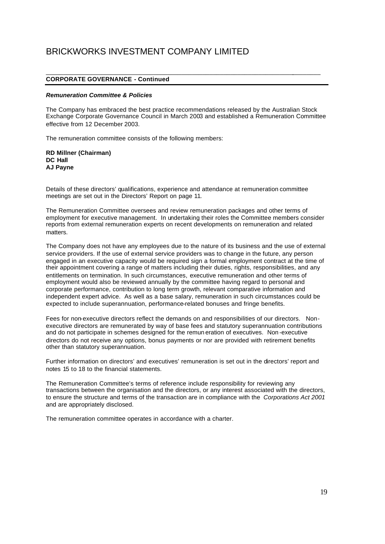## **CORPORATE GOVERNANCE - Continued**

### *Remuneration Committee & Policies*

The Company has embraced the best practice recommendations released by the Australian Stock Exchange Corporate Governance Council in March 2003 and established a Remuneration Committee effective from 12 December 2003.

\_\_\_\_\_\_\_\_\_\_\_\_\_\_\_\_\_\_\_\_\_\_\_\_\_\_\_\_\_\_\_\_\_\_\_\_\_\_\_\_\_\_\_\_\_\_\_\_\_\_\_\_\_\_\_\_\_\_\_\_\_\_\_\_\_\_\_\_\_\_\_\_\_\_\_\_\_\_\_

The remuneration committee consists of the following members:

**RD Millner (Chairman) DC Hall AJ Payne**

Details of these directors' qualifications, experience and attendance at remuneration committee meetings are set out in the Directors' Report on page 11.

The Remuneration Committee oversees and review remuneration packages and other terms of employment for executive management. In undertaking their roles the Committee members consider reports from external remuneration experts on recent developments on remuneration and related matters.

The Company does not have any employees due to the nature of its business and the use of external service providers. If the use of external service providers was to change in the future, any person engaged in an executive capacity would be required sign a formal employment contract at the time of their appointment covering a range of matters including their duties, rights, responsibilities, and any entitlements on termination. In such circumstances, executive remuneration and other terms of employment would also be reviewed annually by the committee having regard to personal and corporate performance, contribution to long term growth, relevant comparative information and independent expert advice. As well as a base salary, remuneration in such circumstances could be expected to include superannuation, performance-related bonuses and fringe benefits.

Fees for non-executive directors reflect the demands on and responsibilities of our directors. Nonexecutive directors are remunerated by way of base fees and statutory superannuation contributions and do not participate in schemes designed for the remun eration of executives. Non -executive directors do not receive any options, bonus payments or nor are provided with retirement benefits other than statutory superannuation.

Further information on directors' and executives' remuneration is set out in the directors' report and notes 15 to 18 to the financial statements.

The Remuneration Committee's terms of reference include responsibility for reviewing any transactions between the organisation and the directors, or any interest associated with the directors, to ensure the structure and terms of the transaction are in compliance with the *Corporations Act 2001*  and are appropriately disclosed.

The remuneration committee operates in accordance with a charter.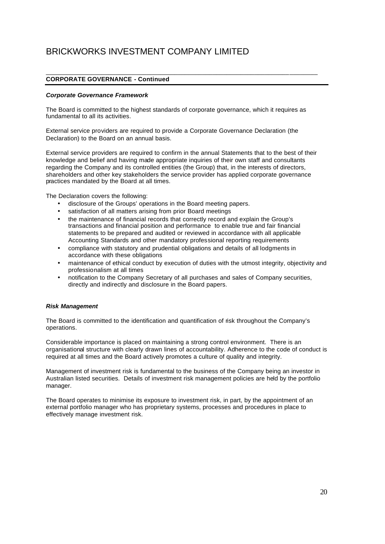# **CORPORATE GOVERNANCE - Continued**

### *Corporate Governance Framework*

The Board is committed to the highest standards of corporate governance, which it requires as fundamental to all its activities.

\_\_\_\_\_\_\_\_\_\_\_\_\_\_\_\_\_\_\_\_\_\_\_\_\_\_\_\_\_\_\_\_\_\_\_\_\_\_\_\_\_\_\_\_\_\_\_\_\_\_\_\_\_\_\_\_\_\_\_\_\_\_\_\_\_\_\_\_\_\_\_\_\_\_\_\_\_\_

External service providers are required to provide a Corporate Governance Declaration (the Declaration) to the Board on an annual basis.

External service providers are required to confirm in the annual Statements that to the best of their knowledge and belief and having made appropriate inquiries of their own staff and consultants regarding the Company and its controlled entities (the Group) that, in the interests of directors, shareholders and other key stakeholders the service provider has applied corporate governance practices mandated by the Board at all times.

The Declaration covers the following:

- disclosure of the Groups' operations in the Board meeting papers.
- satisfaction of all matters arising from prior Board meetings
- the maintenance of financial records that correctly record and explain the Group's transactions and financial position and performance to enable true and fair financial statements to be prepared and audited or reviewed in accordance with all applicable Accounting Standards and other mandatory professional reporting requirements
- compliance with statutory and prudential obligations and details of all lodgments in accordance with these obligations
- maintenance of ethical conduct by execution of duties with the utmost integrity, objectivity and professionalism at all times
- notification to the Company Secretary of all purchases and sales of Company securities, directly and indirectly and disclosure in the Board papers.

### *Risk Management*

The Board is committed to the identification and quantification of risk throughout the Company's operations.

Considerable importance is placed on maintaining a strong control environment. There is an organisational structure with clearly drawn lines of accountability. Adherence to the code of conduct is required at all times and the Board actively promotes a culture of quality and integrity.

Management of investment risk is fundamental to the business of the Company being an investor in Australian listed securities. Details of investment risk management policies are held by the portfolio manager.

The Board operates to minimise its exposure to investment risk, in part, by the appointment of an external portfolio manager who has proprietary systems, processes and procedures in place to effectively manage investment risk.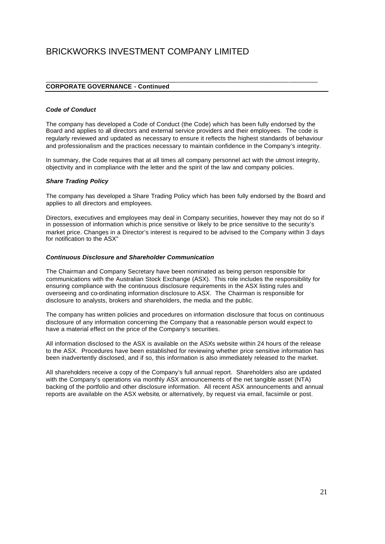## **CORPORATE GOVERNANCE - Continued**

# *Code of Conduct*

The company has developed a Code of Conduct (the Code) which has been fully endorsed by the Board and applies to all directors and external service providers and their employees. The code is regularly reviewed and updated as necessary to ensure it reflects the highest standards of behaviour and professionalism and the practices necessary to maintain confidence in the Company's integrity.

\_\_\_\_\_\_\_\_\_\_\_\_\_\_\_\_\_\_\_\_\_\_\_\_\_\_\_\_\_\_\_\_\_\_\_\_\_\_\_\_\_\_\_\_\_\_\_\_\_\_\_\_\_\_\_\_\_\_\_\_\_\_\_\_\_\_\_\_\_\_\_\_\_\_\_\_\_\_

In summary, the Code requires that at all times all company personnel act with the utmost integrity, objectivity and in compliance with the letter and the spirit of the law and company policies.

#### *Share Trading Policy*

The company has developed a Share Trading Policy which has been fully endorsed by the Board and applies to all directors and employees.

Directors, executives and employees may deal in Company securities, however they may not do so if in possession of information which is price sensitive or likely to be price sensitive to the security's market price. Changes in a Director's interest is required to be advised to the Company within 3 days for notification to the ASX"

#### *Continuous Disclosure and Shareholder Communication*

The Chairman and Company Secretary have been nominated as being person responsible for communications with the Australian Stock Exchange (ASX). This role includes the responsibility for ensuring compliance with the continuous disclosure requirements in the ASX listing rules and overseeing and co-ordinating information disclosure to ASX. The Chairman is responsible for disclosure to analysts, brokers and shareholders, the media and the public.

The company has written policies and procedures on information disclosure that focus on continuous disclosure of any information concerning the Company that a reasonable person would expect to have a material effect on the price of the Company's securities.

All information disclosed to the ASX is available on the ASXs website within 24 hours of the release to the ASX. Procedures have been established for reviewing whether price sensitive information has been inadvertently disclosed, and if so, this information is also immediately released to the market.

All shareholders receive a copy of the Company's full annual report. Shareholders also are updated with the Company's operations via monthly ASX announcements of the net tangible asset (NTA) backing of the portfolio and other disclosure information. All recent ASX announcements and annual reports are available on the ASX website, or alternatively, by request via email, facsimile or post.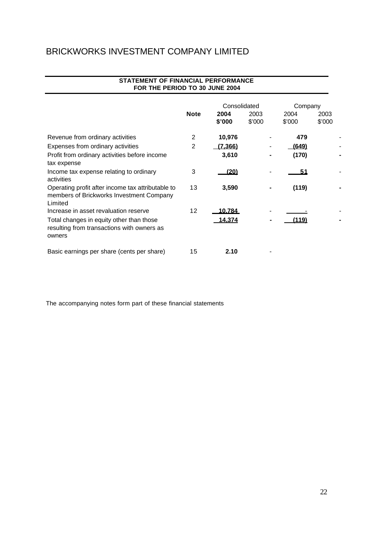|                                                                                                          | <b>Note</b> | Consolidated<br>2004 | 2003   | Company<br>2004 | 2003   |
|----------------------------------------------------------------------------------------------------------|-------------|----------------------|--------|-----------------|--------|
|                                                                                                          |             | \$'000               | \$'000 | \$'000          | \$'000 |
| Revenue from ordinary activities                                                                         | 2           | 10,976               |        | 479             |        |
| Expenses from ordinary activities                                                                        | 2           | <u>(7.366)</u>       |        | (649)           |        |
| Profit from ordinary activities before income<br>tax expense                                             |             | 3,610                |        | (170)           |        |
| Income tax expense relating to ordinary<br>activities                                                    | 3           | (20)                 |        | 51              |        |
| Operating profit after income tax attributable to<br>members of Brickworks Investment Company<br>Limited | 13          | 3,590                |        | (119)           |        |
| Increase in asset revaluation reserve                                                                    | 12          | 10.784               |        |                 |        |
| Total changes in equity other than those<br>resulting from transactions with owners as<br>owners         |             | 14.374               |        | '119)           |        |
| Basic earnings per share (cents per share)                                                               | 15          | 2.10                 |        |                 |        |

## **STATEMENT OF FINANCIAL PERFORMANCE FOR THE PERIOD TO 30 JUNE 2004**

The accompanying notes form part of these financial statements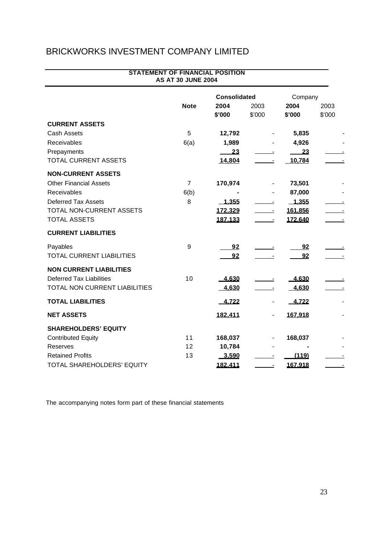|                                  | <b>STATEMENT OF FINANCIAL POSITION</b><br><b>AS AT 30 JUNE 2004</b> |                     |                          |                |                |
|----------------------------------|---------------------------------------------------------------------|---------------------|--------------------------|----------------|----------------|
|                                  |                                                                     | <b>Consolidated</b> |                          | Company        |                |
|                                  | <b>Note</b>                                                         | 2004<br>\$'000      | 2003<br>\$'000           | 2004<br>\$'000 | 2003<br>\$'000 |
| <b>CURRENT ASSETS</b>            |                                                                     |                     |                          |                |                |
| <b>Cash Assets</b>               | 5                                                                   | 12,792              |                          | 5,835          |                |
| Receivables                      | 6(a)                                                                | 1,989               |                          | 4,926          |                |
| Prepayments                      |                                                                     | $\frac{23}{2}$      |                          | 23             |                |
| <b>TOTAL CURRENT ASSETS</b>      |                                                                     | 14,804              | $\blacksquare$           | 10,784         |                |
| <b>NON-CURRENT ASSETS</b>        |                                                                     |                     |                          |                |                |
| <b>Other Financial Assets</b>    | $\overline{7}$                                                      | 170,974             |                          | 73,501         |                |
| <b>Receivables</b>               | 6(b)                                                                |                     |                          | 87,000         |                |
| <b>Deferred Tax Assets</b>       | 8                                                                   | $-1,355$            |                          | $-1,355$       |                |
| TOTAL NON-CURRENT ASSETS         |                                                                     | 172,329             |                          | 161,856        |                |
| <b>TOTAL ASSETS</b>              |                                                                     | 187.133             |                          | 172.640        |                |
| <b>CURRENT LIABILITIES</b>       |                                                                     |                     |                          |                |                |
| Payables                         | 9                                                                   | <u>92</u>           |                          | 92             |                |
| <b>TOTAL CURRENT LIABILITIES</b> |                                                                     | 92                  |                          | 92             |                |
| <b>NON CURRENT LIABILITIES</b>   |                                                                     |                     |                          |                |                |
| <b>Deferred Tax Liabilities</b>  | 10                                                                  | 4.630               |                          | 4.630          |                |
| TOTAL NON CURRENT LIABILITIES    |                                                                     | 4.630               |                          | 4.630          |                |
| <b>TOTAL LIABILITIES</b>         |                                                                     | $-4,722$            | $\overline{\phantom{a}}$ | $-4,722$       |                |
| <b>NET ASSETS</b>                |                                                                     | 182.411             |                          | 167.918        |                |
| <b>SHAREHOLDERS' EQUITY</b>      |                                                                     |                     |                          |                |                |
| <b>Contributed Equity</b>        | 11                                                                  | 168,037             |                          | 168,037        |                |
| Reserves                         | 12                                                                  | 10,784              |                          |                |                |
| <b>Retained Profits</b>          | 13                                                                  | 3.590               |                          | (119)          |                |
| TOTAL SHAREHOLDERS' EQUITY       |                                                                     | 182.411             |                          | 167.918        |                |

The accompanying notes form part of these financial statements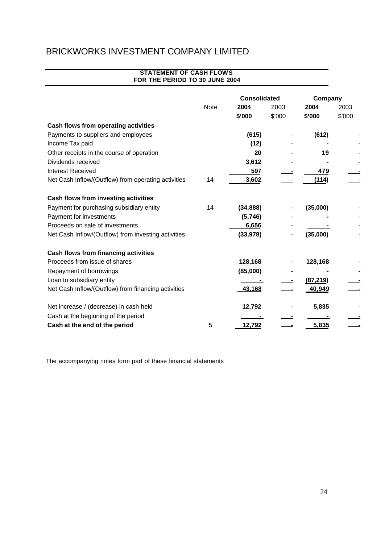# **STATEMENT OF CASH FLOWS FOR THE PERIOD TO 30 JUNE 2004 2004** 2003 **2004** 2003 **\$'000** \$'000 **\$'000** \$'000 **Cash flows from operating activities** Payments to suppliers and employees **(615)** - **(612)** - Income Tax paid **and the Contract of Contract Contract (12)** and  $\overline{a}$ Other receipts in the course of operation **20** - **19** - Dividends received **3,612** - **-** - Interest Received **597** - **479** - Net Cash Inflow/(Outflow) from operating activities 14 3,602 -- (114) **Cash flows from investing activities** Payment for purchasing subsidiary entity 14 **(34,888)** - **(35,000)** - Payment for investments (5,746) Proceeds on sale of investments 6,656 Net Cash Inflow/(Outflow) from investing activities **(33,978)** - (35,000) **Cash flows from financing activities** Proceeds from issue of shares **128,168** - **128,168** - Repayment of borrowings **and a struck (85,000)** (85,000) Loan to subsidiary entity - - **(87,219)** - Net Cash Inflow/(Outflow) from financing activities **43,168** - 40,949 Net increase / (decrease) in cash held **12,792** - **5,835** - Cash at the beginning of the period **Cash at the end of the period** 5 12,792 - 5,835 **Consolidated Company Note**

The accompanying notes form part of these financial statements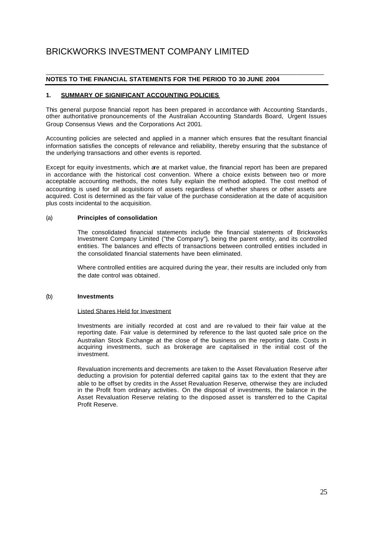#### \_\_\_\_\_\_\_\_\_\_\_\_\_\_\_\_\_\_\_\_\_\_\_\_\_\_\_\_\_\_\_\_\_\_\_\_\_\_\_\_\_\_\_\_\_\_\_\_\_\_\_\_\_\_\_\_\_\_\_\_\_\_\_\_\_\_\_\_\_\_\_\_\_\_\_\_\_\_\_\_ **NOTES TO THE FINANCIAL STATEMENTS FOR THE PERIOD TO 30 JUNE 2004**

## **1. SUMMARY OF SIGNIFICANT ACCOUNTING POLICIES**

This general purpose financial report has been prepared in accordance with Accounting Standards , other authoritative pronouncements of the Australian Accounting Standards Board, Urgent Issues Group Consensus Views and the Corporations Act 2001.

Accounting policies are selected and applied in a manner which ensures that the resultant financial information satisfies the concepts of relevance and reliability, thereby ensuring that the substance of the underlying transactions and other events is reported.

Except for equity investments, which are at market value, the financial report has been are prepared in accordance with the historical cost convention. Where a choice exists between two or more acceptable accounting methods, the notes fully explain the method adopted. The cost method of accounting is used for all acquisitions of assets regardless of whether shares or other assets are acquired. Cost is determined as the fair value of the purchase consideration at the date of acquisition plus costs incidental to the acquisition.

### (a) **Principles of consolidation**

The consolidated financial statements include the financial statements of Brickworks Investment Company Limited ("the Company"), being the parent entity, and its controlled entities. The balances and effects of transactions between controlled entities included in the consolidated financial statements have been eliminated.

Where controlled entities are acquired during the year, their results are included only from the date control was obtained.

#### (b) **Investments**

#### Listed Shares Held for Investment

Investments are initially recorded at cost and are re-valued to their fair value at the reporting date. Fair value is determined by reference to the last quoted sale price on the Australian Stock Exchange at the close of the business on the reporting date. Costs in acquiring investments, such as brokerage are capitalised in the initial cost of the investment.

Revaluation increments and decrements are taken to the Asset Revaluation Reserve after deducting a provision for potential deferred capital gains tax to the extent that they are able to be offset by credits in the Asset Revaluation Reserve, otherwise they are included in the Profit from ordinary activities. On the disposal of investments, the balance in the Asset Revaluation Reserve relating to the disposed asset is transferr ed to the Capital Profit Reserve.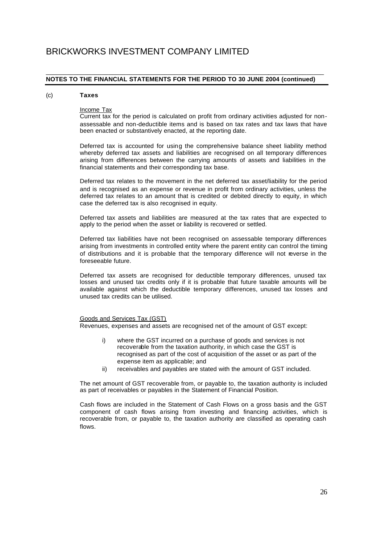#### \_\_\_\_\_\_\_\_\_\_\_\_\_\_\_\_\_\_\_\_\_\_\_\_\_\_\_\_\_\_\_\_\_\_\_\_\_\_\_\_\_\_\_\_\_\_\_\_\_\_\_\_\_\_\_\_\_\_\_\_\_\_\_\_\_\_\_\_\_\_\_\_\_\_\_\_\_\_\_\_ **NOTES TO THE FINANCIAL STATEMENTS FOR THE PERIOD TO 30 JUNE 2004 (continued)**

#### (c) **Taxes**

### Income Tax

Current tax for the period is calculated on profit from ordinary activities adjusted for nonassessable and non-deductible items and is based on tax rates and tax laws that have been enacted or substantively enacted, at the reporting date.

Deferred tax is accounted for using the comprehensive balance sheet liability method whereby deferred tax assets and liabilities are recognised on all temporary differences arising from differences between the carrying amounts of assets and liabilities in the financial statements and their corresponding tax base.

Deferred tax relates to the movement in the net deferred tax asset/liability for the period and is recognised as an expense or revenue in profit from ordinary activities, unless the deferred tax relates to an amount that is credited or debited directly to equity, in which case the deferred tax is also recognised in equity.

Deferred tax assets and liabilities are measured at the tax rates that are expected to apply to the period when the asset or liability is recovered or settled.

Deferred tax liabilities have not been recognised on assessable temporary differences arising from investments in controlled entity where the parent entity can control the timing of distributions and it is probable that the temporary difference will not reverse in the foreseeable future.

Deferred tax assets are recognised for deductible temporary differences, unused tax losses and unused tax credits only if it is probable that future taxable amounts will be available against which the deductible temporary differences, unused tax losses and unused tax credits can be utilised.

### Goods and Services Tax (GST)

Revenues, expenses and assets are recognised net of the amount of GST except:

- i) where the GST incurred on a purchase of goods and services is not recoverable from the taxation authority, in which case the GST is recognised as part of the cost of acquisition of the asset or as part of the expense item as applicable; and
- ii) receivables and payables are stated with the amount of GST included.

The net amount of GST recoverable from, or payable to, the taxation authority is included as part of receivables or payables in the Statement of Financial Position.

Cash flows are included in the Statement of Cash Flows on a gross basis and the GST component of cash flows arising from investing and financing activities, which is recoverable from, or payable to, the taxation authority are classified as operating cash flows.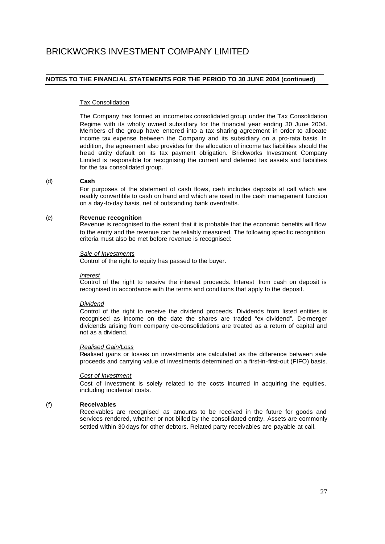#### \_\_\_\_\_\_\_\_\_\_\_\_\_\_\_\_\_\_\_\_\_\_\_\_\_\_\_\_\_\_\_\_\_\_\_\_\_\_\_\_\_\_\_\_\_\_\_\_\_\_\_\_\_\_\_\_\_\_\_\_\_\_\_\_\_\_\_\_\_\_\_\_\_\_\_\_\_\_\_\_ **NOTES TO THE FINANCIAL STATEMENTS FOR THE PERIOD TO 30 JUNE 2004 (continued)**

#### Tax Consolidation

The Company has formed an income tax consolidated group under the Tax Consolidation Regime with its wholly owned subsidiary for the financial year ending 30 June 2004. Members of the group have entered into a tax sharing agreement in order to allocate income tax expense between the Company and its subsidiary on a pro-rata basis. In addition, the agreement also provides for the allocation of income tax liabilities should the head entity default on its tax payment obligation. Brickworks Investment Company Limited is responsible for recognising the current and deferred tax assets and liabilities for the tax consolidated group.

#### (d) **Cash**

For purposes of the statement of cash flows, cash includes deposits at call which are readily convertible to cash on hand and which are used in the cash management function on a day-to-day basis, net of outstanding bank overdrafts.

#### (e) **Revenue recognition**

Revenue is recognised to the extent that it is probable that the economic benefits will flow to the entity and the revenue can be reliably measured. The following specific recognition criteria must also be met before revenue is recognised:

#### *Sale of Investments*

Control of the right to equity has passed to the buyer.

#### *Interest*

Control of the right to receive the interest proceeds. Interest from cash on deposit is recognised in accordance with the terms and conditions that apply to the deposit.

#### *Dividend*

Control of the right to receive the dividend proceeds. Dividends from listed entities is recognised as income on the date the shares are traded "ex -dividend". De-merger dividends arising from company de-consolidations are treated as a return of capital and not as a dividend.

#### *Realised Gain/Loss*

Realised gains or losses on investments are calculated as the difference between sale proceeds and carrying value of investments determined on a first-in-first-out (FIFO) basis.

### *Cost of Investment*

Cost of investment is solely related to the costs incurred in acquiring the equities, including incidental costs.

#### (f) **Receivables**

Receivables are recognised as amounts to be received in the future for goods and services rendered, whether or not billed by the consolidated entity. Assets are commonly settled within 30 days for other debtors. Related party receivables are payable at call.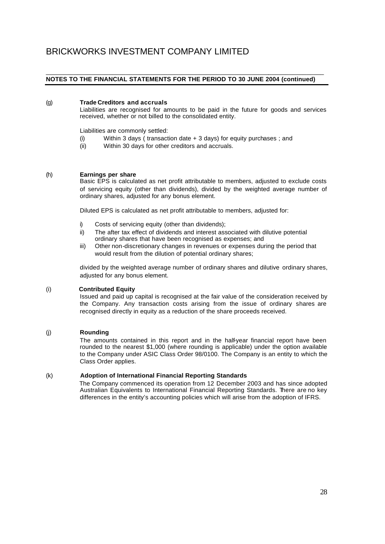#### \_\_\_\_\_\_\_\_\_\_\_\_\_\_\_\_\_\_\_\_\_\_\_\_\_\_\_\_\_\_\_\_\_\_\_\_\_\_\_\_\_\_\_\_\_\_\_\_\_\_\_\_\_\_\_\_\_\_\_\_\_\_\_\_\_\_\_\_\_\_\_\_\_\_\_\_\_\_\_\_ **NOTES TO THE FINANCIAL STATEMENTS FOR THE PERIOD TO 30 JUNE 2004 (continued)**

### (g) **Trade Creditors and accruals**

Liabilities are recognised for amounts to be paid in the future for goods and services received, whether or not billed to the consolidated entity.

Liabilities are commonly settled:

- (i) Within 3 days ( transaction date  $+3$  days) for equity purchases; and
- (ii) Within 30 days for other creditors and accruals.

### (h) **Earnings per share**

Basic EPS is calculated as net profit attributable to members, adjusted to exclude costs of servicing equity (other than dividends), divided by the weighted average number of ordinary shares, adjusted for any bonus element.

Diluted EPS is calculated as net profit attributable to members, adjusted for:

- i) Costs of servicing equity (other than dividends);
- ii) The after tax effect of dividends and interest associated with dilutive potential ordinary shares that have been recognised as expenses; and
- iii) Other non-discretionary changes in revenues or expenses during the period that would result from the dilution of potential ordinary shares;

divided by the weighted average number of ordinary shares and dilutive ordinary shares, adjusted for any bonus element.

### (i) **Contributed Equity**

Issued and paid up capital is recognised at the fair value of the consideration received by the Company. Any transaction costs arising from the issue of ordinary shares are recognised directly in equity as a reduction of the share proceeds received.

### (j) **Rounding**

The amounts contained in this report and in the half-year financial report have been rounded to the nearest \$1,000 (where rounding is applicable) under the option available to the Company under ASIC Class Order 98/0100. The Company is an entity to which the Class Order applies.

### (k) **Adoption of International Financial Reporting Standards**

The Company commenced its operation from 12 December 2003 and has since adopted Australian Equivalents to International Financial Reporting Standards. There are no key differences in the entity's accounting policies which will arise from the adoption of IFRS.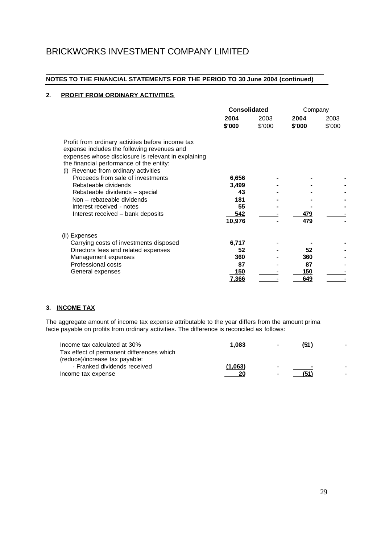#### \_\_\_\_\_\_\_\_\_\_\_\_\_\_\_\_\_\_\_\_\_\_\_\_\_\_\_\_\_\_\_\_\_\_\_\_\_\_\_\_\_\_\_\_\_\_\_\_\_\_\_\_\_\_\_\_\_\_\_\_\_\_\_\_\_\_\_\_\_\_\_\_\_\_\_\_\_\_\_\_ **NOTES TO THE FINANCIAL STATEMENTS FOR THE PERIOD TO 30 June 2004 (continued)**

# **2. PROFIT FROM ORDINARY ACTIVITIES**

|                                                                                                                                                                                                                                             | Consolidated |        | Company |        |
|---------------------------------------------------------------------------------------------------------------------------------------------------------------------------------------------------------------------------------------------|--------------|--------|---------|--------|
|                                                                                                                                                                                                                                             | 2004         | 2003   | 2004    | 2003   |
|                                                                                                                                                                                                                                             | \$'000       | \$'000 | \$'000  | \$'000 |
| Profit from ordinary activities before income tax<br>expense includes the following revenues and<br>expenses whose disclosure is relevant in explaining<br>the financial performance of the entity:<br>(i) Revenue from ordinary activities |              |        |         |        |
| Proceeds from sale of investments                                                                                                                                                                                                           | 6,656        |        |         |        |
| Rebateable dividends                                                                                                                                                                                                                        | 3,499        |        |         |        |
| Rebateable dividends - special                                                                                                                                                                                                              | 43           |        |         |        |
| Non - rebateable dividends                                                                                                                                                                                                                  | 181          |        |         |        |
| Interest received - notes                                                                                                                                                                                                                   | 55           |        |         |        |
| Interest received – bank deposits                                                                                                                                                                                                           | 542          |        | 479     |        |
|                                                                                                                                                                                                                                             | 10,976       |        | 479     |        |
| (ii) Expenses                                                                                                                                                                                                                               |              |        |         |        |
| Carrying costs of investments disposed                                                                                                                                                                                                      | 6,717        |        |         |        |
| Directors fees and related expenses                                                                                                                                                                                                         | 52           |        | 52      |        |
| Management expenses                                                                                                                                                                                                                         | 360          |        | 360     |        |
| Professional costs                                                                                                                                                                                                                          | 87           |        | 87      |        |
| General expenses                                                                                                                                                                                                                            | 150          |        | 150     |        |
|                                                                                                                                                                                                                                             | 7,366        |        | 649     |        |

# **3. INCOME TAX**

The aggregate amount of income tax expense attributable to the year differs from the amount prima facie payable on profits from ordinary activities. The difference is reconciled as follows:

| Income tax calculated at 30%              | 1.083   | $\overline{\phantom{0}}$ | (51)                     |  |
|-------------------------------------------|---------|--------------------------|--------------------------|--|
| Tax effect of permanent differences which |         |                          |                          |  |
| (reduce)/increase tax payable:            |         |                          |                          |  |
| - Franked dividends received              | (1,063) | $\sim$                   | $\overline{\phantom{0}}$ |  |
| Income tax expense                        | 20      | $\overline{\phantom{0}}$ | (51)                     |  |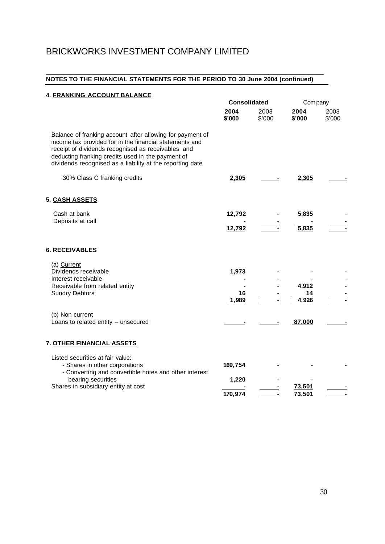#### \_\_\_\_\_\_\_\_\_\_\_\_\_\_\_\_\_\_\_\_\_\_\_\_\_\_\_\_\_\_\_\_\_\_\_\_\_\_\_\_\_\_\_\_\_\_\_\_\_\_\_\_\_\_\_\_\_\_\_\_\_\_\_\_\_\_\_\_\_\_\_\_\_\_\_\_\_\_\_\_ **NOTES TO THE FINANCIAL STATEMENTS FOR THE PERIOD TO 30 June 2004 (continued)**

| 4. FRANKING ACCOUNT BALANCE                                                                                                                                                                                                                                                                   |                      |                |                      |                |
|-----------------------------------------------------------------------------------------------------------------------------------------------------------------------------------------------------------------------------------------------------------------------------------------------|----------------------|----------------|----------------------|----------------|
|                                                                                                                                                                                                                                                                                               | <b>Consolidated</b>  |                | Company              |                |
|                                                                                                                                                                                                                                                                                               | 2004<br>\$'000       | 2003<br>\$'000 | 2004<br>\$'000       | 2003<br>\$'000 |
| Balance of franking account after allowing for payment of<br>income tax provided for in the financial statements and<br>receipt of dividends recognised as receivables and<br>deducting franking credits used in the payment of<br>dividends recognised as a liability at the reporting date. |                      |                |                      |                |
| 30% Class C franking credits                                                                                                                                                                                                                                                                  | 2,305                |                | 2,305                |                |
| 5. CASH ASSETS                                                                                                                                                                                                                                                                                |                      |                |                      |                |
| Cash at bank                                                                                                                                                                                                                                                                                  | 12,792               |                | 5,835                |                |
| Deposits at call                                                                                                                                                                                                                                                                              | 12,792               |                | 5,835                |                |
|                                                                                                                                                                                                                                                                                               |                      |                |                      |                |
| <b>6. RECEIVABLES</b>                                                                                                                                                                                                                                                                         |                      |                |                      |                |
| (a) Current<br>Dividends receivable<br>Interest receivable<br>Receivable from related entity<br><b>Sundry Debtors</b>                                                                                                                                                                         | 1,973<br>16<br>1,989 |                | 4,912<br>14<br>4,926 |                |
| (b) Non-current<br>Loans to related entity - unsecured                                                                                                                                                                                                                                        |                      |                | 87,000               |                |
| 7. OTHER FINANCIAL ASSETS                                                                                                                                                                                                                                                                     |                      |                |                      |                |
| Listed securities at fair value:<br>- Shares in other corporations<br>- Converting and convertible notes and other interest                                                                                                                                                                   | 169,754              |                |                      |                |
| bearing securities<br>Shares in subsidiary entity at cost                                                                                                                                                                                                                                     | 1,220                |                | 73.501               |                |
|                                                                                                                                                                                                                                                                                               | 170,974              |                | 73,501               |                |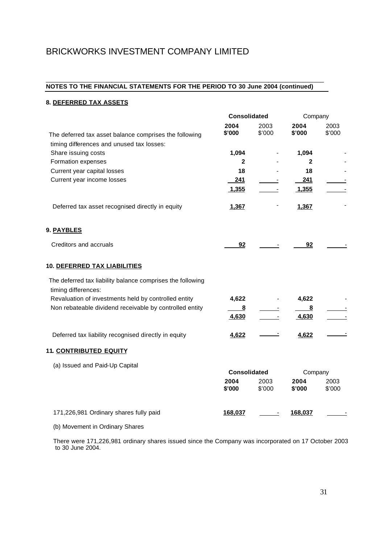#### \_\_\_\_\_\_\_\_\_\_\_\_\_\_\_\_\_\_\_\_\_\_\_\_\_\_\_\_\_\_\_\_\_\_\_\_\_\_\_\_\_\_\_\_\_\_\_\_\_\_\_\_\_\_\_\_\_\_\_\_\_\_\_\_\_\_\_\_\_\_\_\_\_\_\_\_\_\_\_\_ **NOTES TO THE FINANCIAL STATEMENTS FOR THE PERIOD TO 30 June 2004 (continued)**

# **8. DEFERRED TAX ASSETS**

|                                                            | <b>Consolidated</b> |                | Company        |                |
|------------------------------------------------------------|---------------------|----------------|----------------|----------------|
|                                                            | 2004<br>\$'000      | 2003<br>\$'000 | 2004<br>\$'000 | 2003<br>\$'000 |
| The deferred tax asset balance comprises the following     |                     |                |                |                |
| timing differences and unused tax losses:                  |                     |                |                |                |
| Share issuing costs                                        | 1,094               |                | 1,094          |                |
| Formation expenses                                         | $\mathbf{2}$        |                | $\mathbf{2}$   |                |
| Current year capital losses                                | 18                  |                | 18             |                |
| Current year income losses                                 | 241                 |                | 241            |                |
|                                                            | 1,355               |                | 1,355          |                |
| Deferred tax asset recognised directly in equity           | 1,367               |                | 1,367          |                |
| 9. PAYBLES                                                 |                     |                |                |                |
| Creditors and accruals                                     | 92                  |                | 92             |                |
| 10. DEFERRED TAX LIABILITIES                               |                     |                |                |                |
| The deferred tax liability balance comprises the following |                     |                |                |                |
| timing differences:                                        |                     |                |                |                |
| Revaluation of investments held by controlled entity       | 4,622               |                | 4,622          |                |
| Non rebateable dividend receivable by controlled entity    | 8                   |                | 8              |                |
|                                                            | 4,630               |                | 4,630          |                |
| Deferred tax liability recognised directly in equity       | 4,622               |                | 4,622          |                |
| 11. CONTRIBUTED EQUITY                                     |                     |                |                |                |
| (a) Issued and Paid-Up Capital                             |                     |                |                |                |
|                                                            | <b>Consolidated</b> |                | Company        |                |
|                                                            | 2004<br>\$'000      | 2003<br>\$'000 | 2004<br>\$'000 | 2003<br>\$'000 |
| 171,226,981 Ordinary shares fully paid                     | 168,037             |                | 168,037        |                |
| (b) Movement in Ordinary Shares                            |                     |                |                |                |

 There were 171,226,981 ordinary shares issued since the Company was incorporated on 17 October 2003 to 30 June 2004.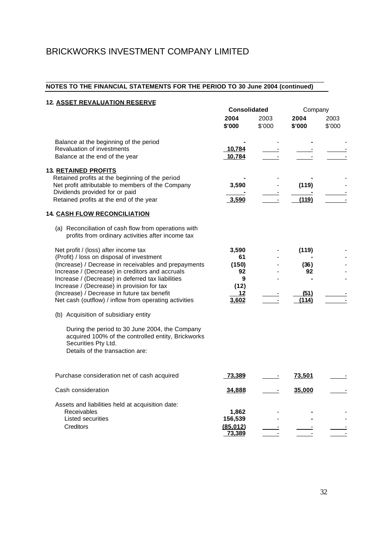#### \_\_\_\_\_\_\_\_\_\_\_\_\_\_\_\_\_\_\_\_\_\_\_\_\_\_\_\_\_\_\_\_\_\_\_\_\_\_\_\_\_\_\_\_\_\_\_\_\_\_\_\_\_\_\_\_\_\_\_\_\_\_\_\_\_\_\_\_\_\_\_\_\_\_\_\_\_\_\_\_ **NOTES TO THE FINANCIAL STATEMENTS FOR THE PERIOD TO 30 June 2004 (continued)**

| <b>12. ASSET REVALUATION RESERVE</b>                                                                                                                                                                                                                                                                                                                                                                    |                                                        |                | Company                              |                |  |
|---------------------------------------------------------------------------------------------------------------------------------------------------------------------------------------------------------------------------------------------------------------------------------------------------------------------------------------------------------------------------------------------------------|--------------------------------------------------------|----------------|--------------------------------------|----------------|--|
|                                                                                                                                                                                                                                                                                                                                                                                                         | <b>Consolidated</b><br>2004<br>\$'000                  | 2003<br>\$'000 | 2004<br>\$'000                       | 2003<br>\$'000 |  |
| Balance at the beginning of the period<br>Revaluation of investments<br>Balance at the end of the year                                                                                                                                                                                                                                                                                                  | 10,784<br>10,784                                       |                |                                      |                |  |
| <b>13. RETAINED PROFITS</b><br>Retained profits at the beginning of the period<br>Net profit attributable to members of the Company<br>Dividends provided for or paid<br>Retained profits at the end of the year<br><b>14. CASH FLOW RECONCILIATION</b>                                                                                                                                                 | 3,590<br>3,590                                         |                | (119)<br>(119)                       |                |  |
| (a) Reconciliation of cash flow from operations with<br>profits from ordinary activities after income tax                                                                                                                                                                                                                                                                                               |                                                        |                |                                      |                |  |
| Net profit / (loss) after income tax<br>(Profit) / loss on disposal of investment<br>(Increase) / Decrease in receivables and prepayments<br>Increase / (Decrease) in creditors and accruals<br>Increase / (Decrease) in deferred tax liabilities<br>Increase / (Decrease) in provision for tax<br>(Increase) / Decrease in future tax benefit<br>Net cash (outflow) / inflow from operating activities | 3,590<br>61<br>(150)<br>92<br>9<br>(12)<br>12<br>3,602 |                | (119)<br>(36)<br>92<br>(51)<br>(114) |                |  |
| (b) Acquisition of subsidiary entity<br>During the period to 30 June 2004, the Company<br>acquired 100% of the controlled entity, Brickworks<br>Securities Pty Ltd.<br>Details of the transaction are:                                                                                                                                                                                                  |                                                        |                |                                      |                |  |
| Purchase consideration net of cash acquired                                                                                                                                                                                                                                                                                                                                                             | 73,389                                                 |                | <u>73,501</u>                        |                |  |
| Cash consideration                                                                                                                                                                                                                                                                                                                                                                                      | 34,888                                                 |                | 35,000                               |                |  |
| Assets and liabilities held at acquisition date:<br>Receivables<br>Listed securities<br>Creditors                                                                                                                                                                                                                                                                                                       | 1,862<br>156,539<br>(85,012)<br>73,389                 |                |                                      |                |  |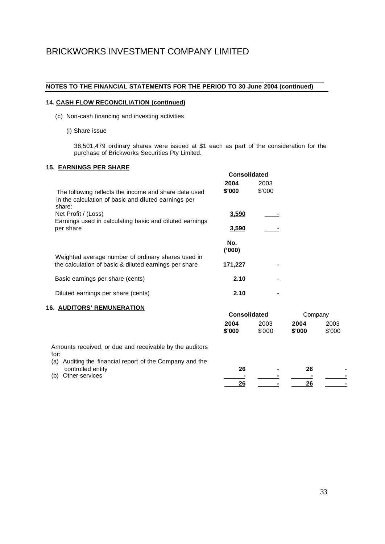#### \_\_\_\_\_\_\_\_\_\_\_\_\_\_\_\_\_\_\_\_\_\_\_\_\_\_\_\_\_\_\_\_\_\_\_\_\_\_\_\_\_\_\_\_\_\_\_\_\_\_\_\_\_\_\_\_\_\_\_\_\_\_\_ \_\_\_\_\_\_\_\_\_\_\_\_\_\_\_\_\_ **NOTES TO THE FINANCIAL STATEMENTS FOR THE PERIOD TO 30 June 2004 (continued)**

# **14. CASH FLOW RECONCILIATION (continued)**

- (c) Non-cash financing and investing activities
	- (i) Share issue

38,501,479 ordinary shares were issued at \$1 each as part of the consideration for the purchase of Brickworks Securities Pty Limited.

# **15. EARNINGS PER SHARE**

|                                                                                                                        | <b>Consolidated</b> |        |  |
|------------------------------------------------------------------------------------------------------------------------|---------------------|--------|--|
|                                                                                                                        | 2004                | 2003   |  |
| The following reflects the income and share data used<br>in the calculation of basic and dluted earnings per<br>share: | \$'000              | \$'000 |  |
| Net Profit / (Loss)                                                                                                    | 3,590               |        |  |
| Earnings used in calculating basic and diluted earnings<br>per share                                                   | 3,590               |        |  |
|                                                                                                                        | No.<br>(000)        |        |  |
| Weighted average number of ordinary shares used in<br>the calculation of basic & diluted earnings per share            | 171,227             |        |  |
| Basic earnings per share (cents)                                                                                       | 2.10                |        |  |
| Diluted earnings per share (cents)                                                                                     | 2.10                |        |  |

# **16. AUDITORS' REMUNERATION**

| w.                                                                                                                             | <b>Consolidated</b> |               | Company        |                |
|--------------------------------------------------------------------------------------------------------------------------------|---------------------|---------------|----------------|----------------|
|                                                                                                                                | 2004<br>\$'000      | 2003<br>\$000 | 2004<br>\$'000 | 2003<br>\$'000 |
| Amounts received, or due and receivable by the auditors<br>for:<br>Auditing the financial report of the Company and the<br>(a) |                     |               |                |                |
| controlled entity                                                                                                              | 26                  |               | 26             |                |
| Other services<br>(b)                                                                                                          |                     |               |                |                |
|                                                                                                                                | 26                  |               | 26             |                |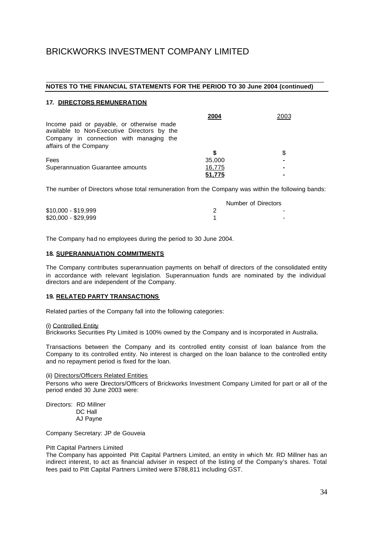#### \_\_\_\_\_\_\_\_\_\_\_\_\_\_\_\_\_\_\_\_\_\_\_\_\_\_\_\_\_\_\_\_\_\_\_\_\_\_\_\_\_\_\_\_\_\_\_\_\_\_\_\_\_\_\_\_\_\_\_\_\_\_\_\_\_\_\_\_\_\_\_\_\_\_\_\_\_\_\_\_ **NOTES TO THE FINANCIAL STATEMENTS FOR THE PERIOD TO 30 June 2004 (continued)**

### **17. DIRECTORS REMUNERATION**

|                                                                                                                                     | 2004   | 2003 |
|-------------------------------------------------------------------------------------------------------------------------------------|--------|------|
| Income paid or payable, or otherwise made<br>available to Non-Executive Directors by the<br>Company in connection with managing the |        |      |
| affairs of the Company                                                                                                              |        |      |
|                                                                                                                                     |        | \$   |
| Fees                                                                                                                                | 35,000 | -    |
| Superannuation Guarantee amounts                                                                                                    | 16,775 | ۰    |
|                                                                                                                                     | 51,775 |      |

The number of Directors whose total remuneration from the Company was within the following bands:

|                     | Number of Directors |
|---------------------|---------------------|
| $$10,000 - $19,999$ | -                   |
| $$20,000 - $29,999$ | -                   |

The Company had no employees during the period to 30 June 2004.

#### **18. SUPERANNUATION COMMITMENTS**

The Company contributes superannuation payments on behalf of directors of the consolidated entity in accordance with relevant legislation. Superannuation funds are nominated by the individual directors and are independent of the Company.

#### **19. RELATED PARTY TRANSACTIONS**

Related parties of the Company fall into the following categories:

#### (i) Controlled Entity

Brickworks Securities Pty Limited is 100% owned by the Company and is incorporated in Australia.

Transactions between the Company and its controlled entity consist of loan balance from the Company to its controlled entity. No interest is charged on the loan balance to the controlled entity and no repayment period is fixed for the loan.

#### (ii) Directors/Officers Related Entities

Persons who were Directors/Officers of Brickworks Investment Company Limited for part or all of the period ended 30 June 2003 were:

Directors: RD Millner DC Hall AJ Payne

Company Secretary: JP de Gouveia

#### Pitt Capital Partners Limited

The Company has appointed Pitt Capital Partners Limited, an entity in which Mr. RD Millner has an indirect interest, to act as financial adviser in respect of the listing of the Company's shares. Total fees paid to Pitt Capital Partners Limited were \$788,811 including GST.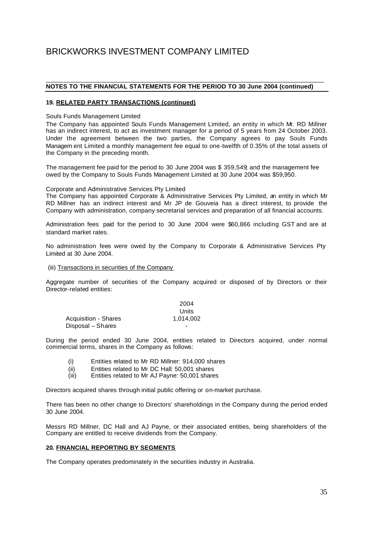#### \_\_\_\_\_\_\_\_\_\_\_\_\_\_\_\_\_\_\_\_\_\_\_\_\_\_\_\_\_\_\_\_\_\_\_\_\_\_\_\_\_\_\_\_\_\_\_\_\_\_\_\_\_\_\_\_\_\_\_\_\_\_\_\_\_\_\_\_\_\_\_\_\_\_\_\_\_\_\_\_ **NOTES TO THE FINANCIAL STATEMENTS FOR THE PERIOD TO 30 June 2004 (continued)**

### **19. RELATED PARTY TRANSACTIONS (continued)**

Souls Funds Management Limited

The Company has appointed Souls Funds Management Limited, an entity in which Mr. RD Millner has an indirect interest, to act as investment manager for a period of 5 years from 24 October 2003. Under the agreement between the two parties, the Company agrees to pay Souls Funds Managem ent Limited a monthly management fee equal to one-twelfth of 0.35% of the total assets of the Company in the preceding month.

The management fee paid for the period to 30 June 2004 was \$ 359,549; and the management fee owed by the Company to Souls Funds Management Limited at 30 June 2004 was \$59,950.

Corporate and Administrative Services Pty Limited

The Company has appointed Corporate & Administrative Services Pty Limited, an entity in which Mr RD Millner has an indirect interest and Mr JP de Gouveia has a direct interest, to provide the Company with administration, company secretarial services and preparation of all financial accounts.

Administration fees paid for the period to 30 June 2004 were \$60,866 including GST and are at standard market rates.

No administration fees were owed by the Company to Corporate & Administrative Services Pty Limited at 30 June 2004.

#### (iii) Transactions in securities of the Company

Aggregate number of securities of the Company acquired or disposed of by Directors or their Director-related entities:

|                             | 2004      |
|-----------------------------|-----------|
|                             | Units     |
| <b>Acquisition - Shares</b> | 1.014.002 |
| Disposal – Shares           |           |

During the period ended 30 June 2004, entities related to Directors acquired, under normal commercial terms, shares in the Company as follows:

- (i) Entities related to Mr RD Millner: 914,000 shares
- (ii) Entities related to Mr DC Hall: 50,001 shares
- (iii) Entities related to Mr AJ Payne: 50,001 shares

Directors acquired shares through initial public offering or on-market purchase.

There has been no other change to Directors' shareholdings in the Company during the period ended 30 June 2004.

Messrs RD Millner, DC Hall and AJ Payne, or their associated entities, being shareholders of the Company are entitled to receive dividends from the Company.

#### **20. FINANCIAL REPORTING BY SEGMENTS**

The Company operates predominately in the securities industry in Australia.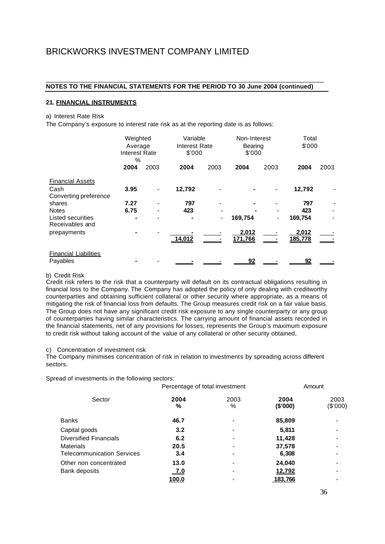#### \_\_\_\_\_\_\_\_\_\_\_\_\_\_\_\_\_\_\_\_\_\_\_\_\_\_\_\_\_\_\_\_\_\_\_\_\_\_\_\_\_\_\_\_\_\_\_\_\_\_\_\_\_\_\_\_\_\_\_\_\_\_\_\_\_\_\_\_\_\_\_\_\_\_\_\_\_\_\_\_ **NOTES TO THE FINANCIAL STATEMENTS FOR THE PERIOD TO 30 June 2004 (continued)**

#### **21. FINANCIAL INSTRUMENTS**

#### a) Interest Rate Risk

The Company's exposure to interest rate risk as at the reporting date is as follows:

|                                                          | Weighted<br>Average<br>Interest Rate<br>% |      | Variable<br>Interest Rate<br>\$'000 |      | Non-Interest<br>Bearing<br>\$'000 |      | Total<br>\$000        |      |
|----------------------------------------------------------|-------------------------------------------|------|-------------------------------------|------|-----------------------------------|------|-----------------------|------|
|                                                          | 2004                                      | 2003 | 2004                                | 2003 | 2004                              | 2003 | 2004                  | 2003 |
| <b>Financial Assets</b><br>Cash<br>Converting preference | 3.95                                      |      | 12,792                              |      |                                   |      | 12,792                |      |
| shares<br><b>Notes</b><br>Listed securities              | 7.27<br>6.75                              |      | 797<br>423                          | -    | 169,754                           |      | 797<br>423<br>169,754 |      |
| Receivables and<br>prepayments                           |                                           |      | 14,012                              |      | 2,012<br>171,766                  |      | 2,012<br>185,778      |      |
| <b>Financial Liabilities</b><br>Payables                 |                                           |      |                                     |      | 92                                |      | 92                    |      |

#### b) Credit Risk

Credit risk refers to the risk that a counterparty will default on its contractual obligations resulting in financial loss to the Company. The Company has adopted the policy of only dealing with creditworthy counterparties and obtaining sufficient collateral or other security where appropriate, as a means of mitigating the risk of financial loss from defaults. The Group measures credit risk on a fair value basis. The Group does not have any significant credit risk exposure to any single counterparty or any group of counterparties having similar characteristics. The carrying amount of financial assets recorded in the financial statements, net of any provisions for losses, represents the Group's maximum exposure to credit risk without taking account of the value of any collateral or other security obtained.

#### c) Concentration of investment risk

The Company minimises concentration of risk in relation to investments by spreading across different sectors.

Spread of investments in the following sectors:

|                                   | Percentage of total investment |           |                  | Amount           |
|-----------------------------------|--------------------------------|-----------|------------------|------------------|
| Sector                            | 2004<br>%                      | 2003<br>% | 2004<br>(\$'000) | 2003<br>(\$'000) |
| <b>Banks</b>                      | 46.7                           |           | 85,809           |                  |
| Capital goods                     | 3.2                            |           | 5,811            |                  |
| <b>Diversified Financials</b>     | 6.2                            |           | 11,428           |                  |
| <b>Materials</b>                  | 20.5                           |           | 37,578           |                  |
| <b>Telecommunication Services</b> | 3.4                            |           | 6,308            |                  |
| Other non concentrated            | 13.0                           |           | 24,040           |                  |
| Bank deposits                     | <u>_7.0</u>                    |           | <u>12,792</u>    |                  |
|                                   | <u>100.0</u>                   |           | 183,766          |                  |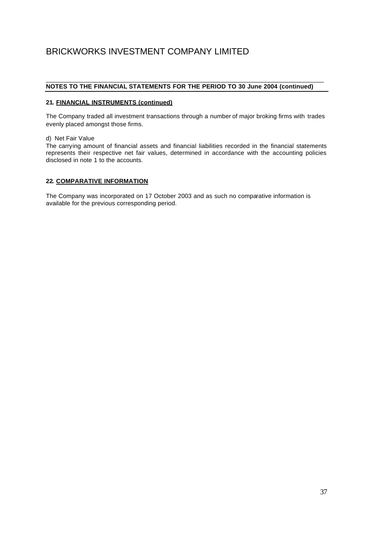#### \_\_\_\_\_\_\_\_\_\_\_\_\_\_\_\_\_\_\_\_\_\_\_\_\_\_\_\_\_\_\_\_\_\_\_\_\_\_\_\_\_\_\_\_\_\_\_\_\_\_\_\_\_\_\_\_\_\_\_\_\_\_\_\_\_\_\_\_\_\_\_\_\_\_\_\_\_\_\_\_ **NOTES TO THE FINANCIAL STATEMENTS FOR THE PERIOD TO 30 June 2004 (continued)**

# **21. FINANCIAL INSTRUMENTS (continued)**

The Company traded all investment transactions through a number of major broking firms with trades evenly placed amongst those firms.

d) Net Fair Value

The carrying amount of financial assets and financial liabilities recorded in the financial statements represents their respective net fair values, determined in accordance with the accounting policies disclosed in note 1 to the accounts.

#### **22. COMPARATIVE INFORMATION**

The Company was incorporated on 17 October 2003 and as such no comparative information is available for the previous corresponding period.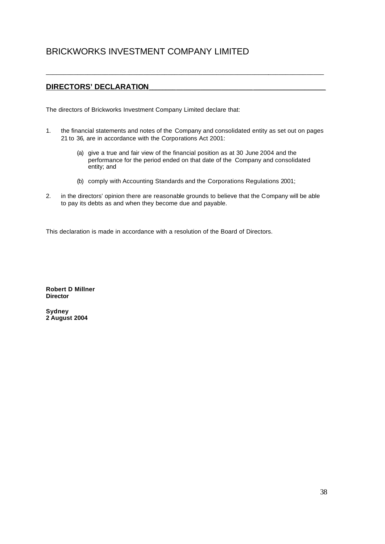# **DIRECTORS' DECLARATION\_\_\_\_\_\_\_\_\_\_\_\_\_\_\_\_\_\_\_\_\_\_\_\_\_\_\_\_\_\_\_\_\_\_\_\_\_\_\_\_\_\_\_\_\_\_\_\_\_\_\_**

The directors of Brickworks Investment Company Limited declare that:

1. the financial statements and notes of the Company and consolidated entity as set out on pages 21 to 36, are in accordance with the Corporations Act 2001:

\_\_\_\_\_\_\_\_\_\_\_\_\_\_\_\_\_\_\_\_\_\_\_\_\_\_\_\_\_\_\_\_\_\_\_\_\_\_\_\_\_\_\_\_\_\_\_\_\_\_\_\_\_\_\_\_\_\_\_\_\_\_\_\_\_\_\_\_\_\_\_\_\_\_\_\_\_\_\_\_

- (a) give a true and fair view of the financial position as at 30 June 2004 and the performance for the period ended on that date of the Company and consolidated entity; and
- (b) comply with Accounting Standards and the Corporations Regulations 2001;
- 2. in the directors' opinion there are reasonable grounds to believe that the Company will be able to pay its debts as and when they become due and payable.

This declaration is made in accordance with a resolution of the Board of Directors.

**Robert D Millner Director**

**Sydney 2 August 2004**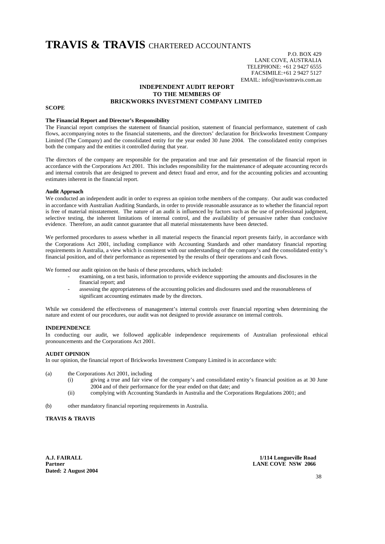# **TRAVIS & TRAVIS** CHARTERED ACCOUNTANTS

P.O. BOX 429 LANE COVE, AUSTRALIA TELEPHONE: +61 2 9427 6555 FACSIMILE:+61 2 9427 5127 EMAIL: info@travisntravis.com.au

#### **INDEPENDENT AUDIT REPORT TO THE MEMBERS OF BRICKWORKS INVESTMENT COMPANY LIMITED**

#### **SCOPE**

#### **The Financial Report and Director's Responsibility**

The Financial report comprises the statement of financial position, statement of financial performance, statement of cash flows, accompanying notes to the financial statements, and the directors' declaration for Brickworks Investment Company Limited (The Company) and the consolidated entity for the year ended 30 June 2004. The consolidated entity comprises both the company and the entities it controlled during that year.

The directors of the company are responsible for the preparation and true and fair presentation of the financial report in accordance with the Corporations Act 2001. This includes responsibility for the maintenance of adequate accounting records and internal controls that are designed to prevent and detect fraud and error, and for the accounting policies and accounting estimates inherent in the financial report.

#### **Audit Approach**

We conducted an independent audit in order to express an opinion to the members of the company. Our audit was conducted in accordance with Australian Auditing Standards, in order to provide reasonable assurance as to whether the financial report is free of material misstatement. The nature of an audit is influenced by factors such as the use of professional judgment, selective testing, the inherent limitations of internal control, and the availability of persuasive rather than conclusive evidence. Therefore, an audit cannot guarantee that all material misstatements have been detected.

We performed procedures to assess whether in all material respects the financial report presents fairly, in accordance with the Corporations Act 2001, including compliance with Accounting Standards and other mandatory financial reporting requirements in Australia, a view which is consistent with our understanding of the company's and the consolidated entity's financial position, and of their performance as represented by the results of their operations and cash flows.

We formed our audit opinion on the basis of these procedures, which included:

- examining, on a test basis, information to provide evidence supporting the amounts and disclosures in the financial report; and
- assessing the appropriateness of the accounting policies and disclosures used and the reasonableness of significant accounting estimates made by the directors.

While we considered the effectiveness of management's internal controls over financial reporting when determining the nature and extent of our procedures, our audit was not designed to provide assurance on internal controls.

#### **INDEPENDENCE**

In conducting our audit, we followed applicable independence requirements of Australian professional ethical pronouncements and the Corporations Act 2001.

#### **AUDIT OPINION**

In our opinion, the financial report of Brickworks Investment Company Limited is in accordance with:

- (a) the Corporations Act 2001, including
	- (i) giving a true and fair view of the company's and consolidated entity's financial position as at 30 June 2004 and of their performance for the year ended on that date; and
	- (ii) complying with Accounting Standards in Australia and the Corporations Regulations 2001; and
- (b) other mandatory financial reporting requirements in Australia.

#### **TRAVIS & TRAVIS**

**Dated: 2 August 2004**

**A.J. FAIRALL 1/114 Longueville Road LANE COVE NSW 2066**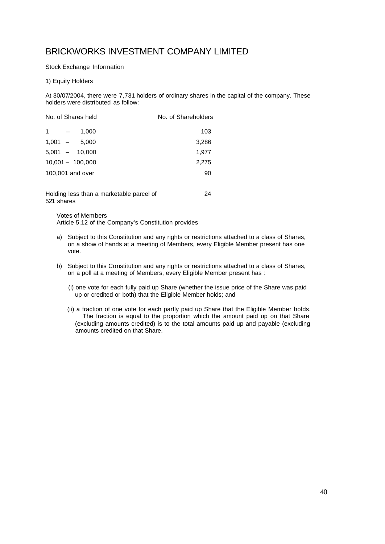Stock Exchange Information

### 1) Equity Holders

At 30/07/2004, there were 7,731 holders of ordinary shares in the capital of the company. These holders were distributed as follow:

|                               | No. of Shares held | No. of Shareholders |
|-------------------------------|--------------------|---------------------|
| 1<br>$\overline{\phantom{m}}$ | 1,000              | 103                 |
| $1,001 -$                     | 5,000              | 3,286               |
|                               | $5,001 - 10,000$   | 1,977               |
|                               | $10,001 - 100,000$ | 2,275               |
|                               | 100,001 and over   | 90                  |
|                               |                    |                     |
|                               |                    |                     |

Holding less than a marketable parcel of 521 shares 24

Votes of Members Article 5.12 of the Company's Constitution provides

- a) Subject to this Constitution and any rights or restrictions attached to a class of Shares, on a show of hands at a meeting of Members, every Eligible Member present has one vote.
- b) Subject to this Constitution and any rights or restrictions attached to a class of Shares, on a poll at a meeting of Members, every Eligible Member present has :
	- (i) one vote for each fully paid up Share (whether the issue price of the Share was paid up or credited or both) that the Eligible Member holds; and
	- (ii) a fraction of one vote for each partly paid up Share that the Eligible Member holds. The fraction is equal to the proportion which the amount paid up on that Share (excluding amounts credited) is to the total amounts paid up and payable (excluding amounts credited on that Share.